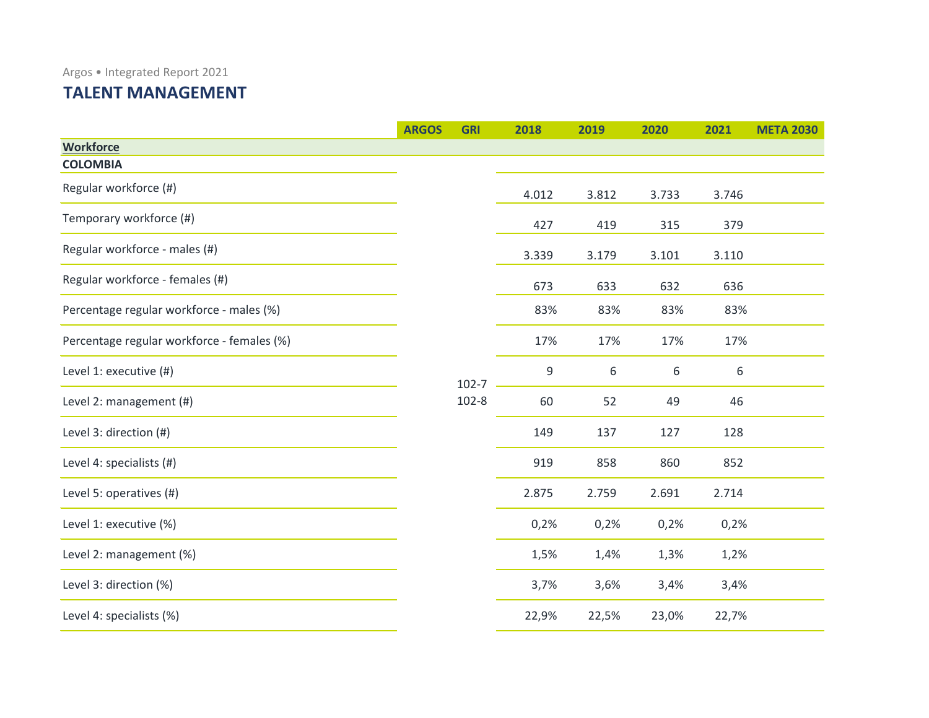## **TALENT MANAGEMENT**

|                                            | <b>ARGOS</b> | <b>GRI</b>             | 2018  | 2019  | 2020  | 2021  | <b>META 2030</b> |
|--------------------------------------------|--------------|------------------------|-------|-------|-------|-------|------------------|
| <b>Workforce</b>                           |              |                        |       |       |       |       |                  |
| <b>COLOMBIA</b>                            |              |                        |       |       |       |       |                  |
| Regular workforce (#)                      |              |                        | 4.012 | 3.812 | 3.733 | 3.746 |                  |
| Temporary workforce (#)                    |              |                        | 427   | 419   | 315   | 379   |                  |
| Regular workforce - males (#)              |              |                        | 3.339 | 3.179 | 3.101 | 3.110 |                  |
| Regular workforce - females (#)            |              |                        | 673   | 633   | 632   | 636   |                  |
| Percentage regular workforce - males (%)   |              | $102 - 7$<br>$102 - 8$ | 83%   | 83%   | 83%   | 83%   |                  |
| Percentage regular workforce - females (%) |              |                        | 17%   | 17%   | 17%   | 17%   |                  |
| Level 1: executive (#)                     |              |                        | 9     | 6     | 6     | 6     |                  |
| Level 2: management (#)                    |              |                        | 60    | 52    | 49    | 46    |                  |
| Level 3: direction (#)                     |              |                        | 149   | 137   | 127   | 128   |                  |
| Level 4: specialists (#)                   |              |                        | 919   | 858   | 860   | 852   |                  |
| Level 5: operatives (#)                    |              |                        | 2.875 | 2.759 | 2.691 | 2.714 |                  |
| Level 1: executive (%)                     |              |                        | 0,2%  | 0,2%  | 0,2%  | 0,2%  |                  |
| Level 2: management (%)                    |              |                        | 1,5%  | 1,4%  | 1,3%  | 1,2%  |                  |
| Level 3: direction (%)                     |              |                        | 3,7%  | 3,6%  | 3,4%  | 3,4%  |                  |
| Level 4: specialists (%)                   |              |                        | 22,9% | 22,5% | 23,0% | 22,7% |                  |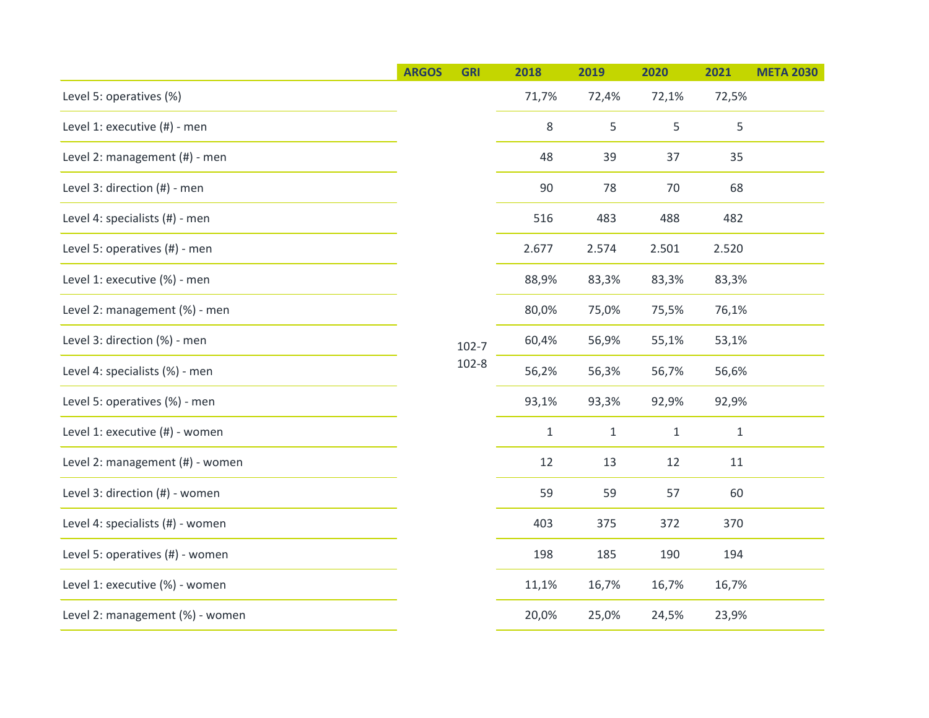|                                  | <b>ARGOS</b> | <b>GRI</b>             | 2018         | 2019         | 2020         | 2021         | <b>META 2030</b> |  |
|----------------------------------|--------------|------------------------|--------------|--------------|--------------|--------------|------------------|--|
| Level 5: operatives (%)          |              |                        | 71,7%        | 72,4%        | 72,1%        | 72,5%        |                  |  |
| Level 1: executive (#) - men     |              |                        | 8            | 5            | 5            | 5            |                  |  |
| Level 2: management (#) - men    |              |                        | 48           | 39           | 37           | 35           |                  |  |
| Level 3: direction (#) - men     |              |                        | 90           | 78           | 70           | 68           |                  |  |
| Level 4: specialists (#) - men   |              |                        | 516          | 483          | 488          | 482          |                  |  |
| Level 5: operatives (#) - men    |              |                        | 2.677        | 2.574        | 2.501        | 2.520        |                  |  |
| Level 1: executive (%) - men     |              |                        | 88,9%        | 83,3%        | 83,3%        | 83,3%        |                  |  |
| Level 2: management (%) - men    |              |                        | 80,0%        | 75,0%        | 75,5%        | 76,1%        |                  |  |
| Level 3: direction (%) - men     |              | $102 - 7$<br>$102 - 8$ | 60,4%        | 56,9%        | 55,1%        | 53,1%        |                  |  |
| Level 4: specialists (%) - men   |              |                        |              | 56,2%        | 56,3%        | 56,7%        | 56,6%            |  |
| Level 5: operatives (%) - men    |              |                        |              | 93,1%        | 93,3%        | 92,9%        | 92,9%            |  |
| Level 1: executive (#) - women   |              |                        | $\mathbf{1}$ | $\mathbf{1}$ | $\mathbf{1}$ | $\mathbf{1}$ |                  |  |
| Level 2: management (#) - women  |              |                        | 12           | 13           | 12           | 11           |                  |  |
| Level 3: direction (#) - women   |              |                        | 59           | 59           | 57           | 60           |                  |  |
| Level 4: specialists (#) - women |              |                        | 403          | 375          | 372          | 370          |                  |  |
| Level 5: operatives (#) - women  |              |                        | 198          | 185          | 190          | 194          |                  |  |
| Level 1: executive (%) - women   |              |                        | 11,1%        | 16,7%        | 16,7%        | 16,7%        |                  |  |
| Level 2: management (%) - women  |              |                        | 20,0%        | 25,0%        | 24,5%        | 23,9%        |                  |  |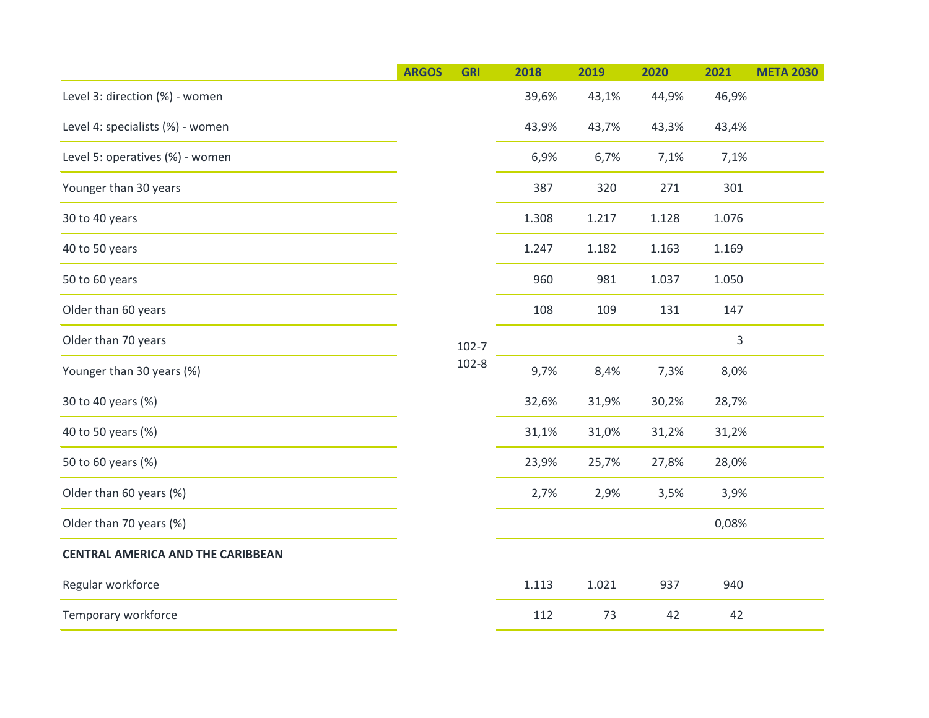|                                          | <b>ARGOS</b> | <b>GRI</b>             | 2018  | 2019  | 2020         | 2021  | <b>META 2030</b> |
|------------------------------------------|--------------|------------------------|-------|-------|--------------|-------|------------------|
| Level 3: direction (%) - women           |              |                        | 39,6% | 43,1% | 44,9%        | 46,9% |                  |
| Level 4: specialists (%) - women         |              |                        | 43,9% | 43,7% | 43,3%        | 43,4% |                  |
| Level 5: operatives (%) - women          |              |                        | 6,9%  | 6,7%  | 7,1%         | 7,1%  |                  |
| Younger than 30 years                    |              |                        | 387   | 320   | 271          | 301   |                  |
| 30 to 40 years                           |              |                        | 1.308 | 1.217 | 1.128        | 1.076 |                  |
| 40 to 50 years                           |              | $102 - 7$<br>$102 - 8$ | 1.247 | 1.182 | 1.163        | 1.169 |                  |
| 50 to 60 years                           |              |                        | 960   | 981   | 1.037        | 1.050 |                  |
| Older than 60 years                      |              |                        | 108   | 109   | 131          | 147   |                  |
| Older than 70 years                      |              |                        |       |       |              | 3     |                  |
| Younger than 30 years (%)                |              |                        | 9,7%  | 8,4%  | 7,3%<br>8,0% |       |                  |
| 30 to 40 years (%)                       |              |                        | 32,6% | 31,9% | 30,2%        | 28,7% |                  |
| 40 to 50 years (%)                       |              |                        | 31,1% | 31,0% | 31,2%        | 31,2% |                  |
| 50 to 60 years (%)                       |              |                        | 23,9% | 25,7% | 27,8%        | 28,0% |                  |
| Older than 60 years (%)                  |              |                        | 2,7%  | 2,9%  | 3,5%         | 3,9%  |                  |
| Older than 70 years (%)                  |              |                        |       |       |              | 0,08% |                  |
| <b>CENTRAL AMERICA AND THE CARIBBEAN</b> |              |                        |       |       |              |       |                  |
| Regular workforce                        |              |                        | 1.113 | 1.021 | 937          | 940   |                  |
| Temporary workforce                      |              |                        | 112   | 73    | 42           | 42    |                  |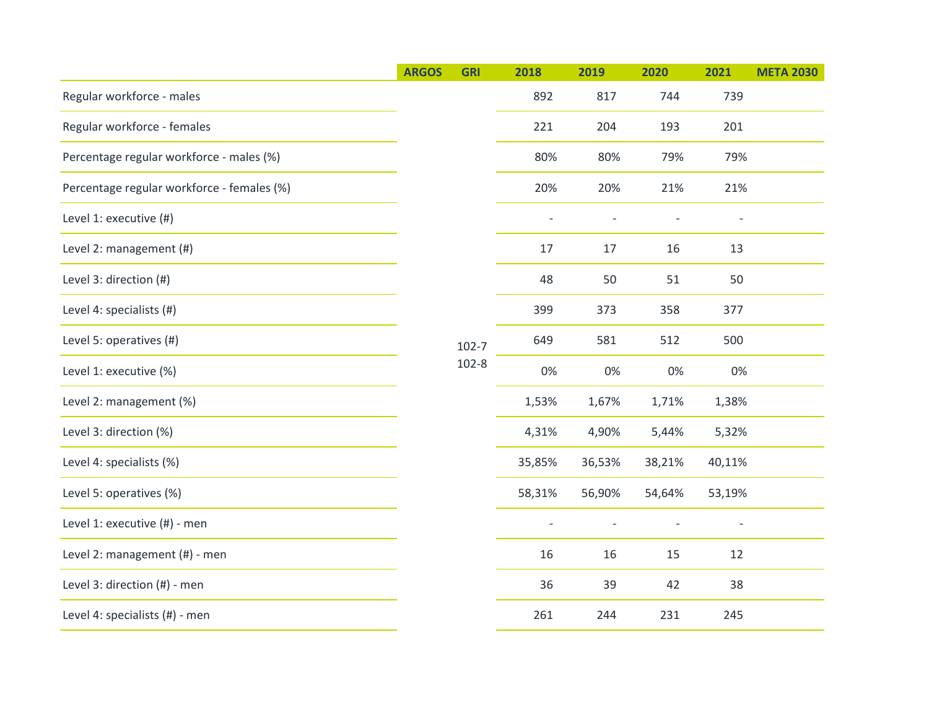|                                            | <b>ARGOS</b> | <b>GRI</b>             | 2018   | 2019   | 2020   | 2021                     | <b>META 2030</b> |  |
|--------------------------------------------|--------------|------------------------|--------|--------|--------|--------------------------|------------------|--|
| Regular workforce - males                  |              |                        | 892    | 817    | 744    | 739                      |                  |  |
| Regular workforce - females                |              |                        | 221    | 204    | 193    | 201                      |                  |  |
| Percentage regular workforce - males (%)   |              |                        | 80%    | 80%    | 79%    | 79%                      |                  |  |
| Percentage regular workforce - females (%) |              |                        | 20%    | 20%    | 21%    | 21%                      |                  |  |
| Level 1: executive (#)                     |              |                        |        |        |        | $\overline{\phantom{a}}$ |                  |  |
| Level 2: management (#)                    |              |                        | 17     | 17     | 16     | 13                       |                  |  |
| Level 3: direction (#)                     |              | $102 - 7$<br>$102 - 8$ | 48     | 50     | 51     | 50                       |                  |  |
| Level 4: specialists (#)                   |              |                        | 399    | 373    | 358    | 377                      |                  |  |
| Level 5: operatives (#)                    |              |                        | 649    | 581    | 512    | 500                      |                  |  |
| Level 1: executive (%)                     |              |                        |        | 0%     | 0%     | 0%                       | 0%               |  |
| Level 2: management (%)                    |              |                        | 1,53%  | 1,67%  | 1,71%  | 1,38%                    |                  |  |
| Level 3: direction (%)                     |              |                        | 4,31%  | 4,90%  | 5,44%  | 5,32%                    |                  |  |
| Level 4: specialists (%)                   |              |                        | 35,85% | 36,53% | 38,21% | 40,11%                   |                  |  |
| Level 5: operatives (%)                    |              |                        | 58,31% | 56,90% | 54,64% | 53,19%                   |                  |  |
| Level 1: executive (#) - men               |              |                        |        |        |        |                          |                  |  |
| Level 2: management (#) - men              |              |                        | 16     | 16     | 15     | 12                       |                  |  |
| Level 3: direction (#) - men               |              |                        | 36     | 39     | 42     | 38                       |                  |  |
| Level 4: specialists (#) - men             |              |                        | 261    | 244    | 231    | 245                      |                  |  |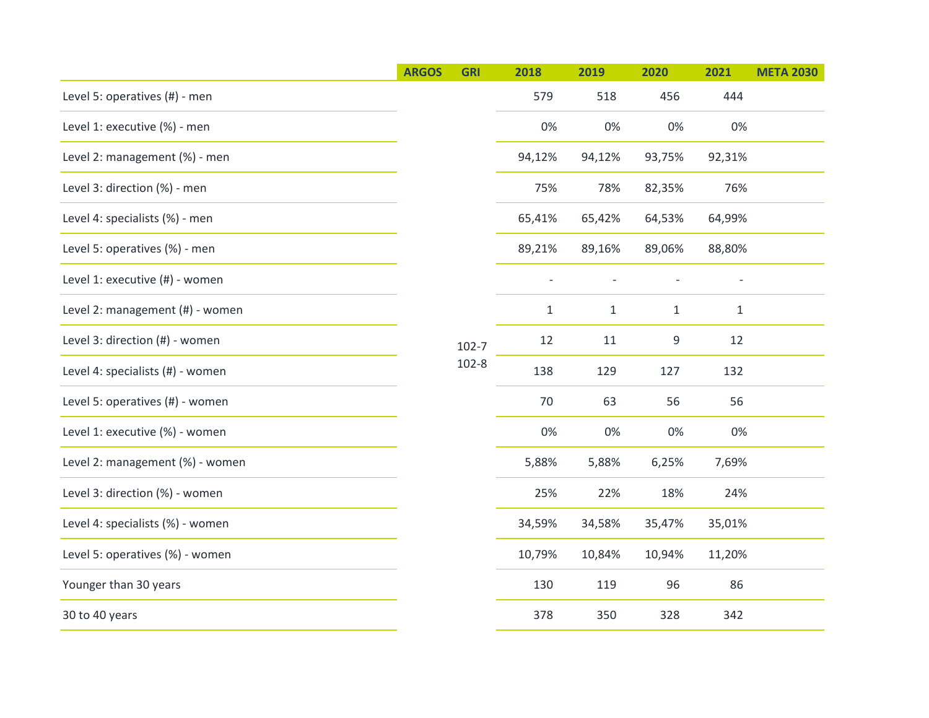|                                  | <b>ARGOS</b> | <b>GRI</b>             | 2018         | 2019         | 2020         | 2021   | <b>META 2030</b> |
|----------------------------------|--------------|------------------------|--------------|--------------|--------------|--------|------------------|
| Level 5: operatives (#) - men    |              |                        | 579          | 518          | 456          | 444    |                  |
| Level 1: executive (%) - men     |              |                        | 0%           | 0%           | 0%           | 0%     |                  |
| Level 2: management (%) - men    |              |                        | 94,12%       | 94,12%       | 93,75%       | 92,31% |                  |
| Level 3: direction (%) - men     |              |                        | 75%          | 78%          | 82,35%       | 76%    |                  |
| Level 4: specialists (%) - men   |              |                        | 65,41%       | 65,42%       | 64,53%       | 64,99% |                  |
| Level 5: operatives (%) - men    |              | $102 - 7$<br>$102 - 8$ | 89,21%       | 89,16%       | 89,06%       | 88,80% |                  |
| Level 1: executive (#) - women   |              |                        |              |              |              |        |                  |
| Level 2: management (#) - women  |              |                        | $\mathbf{1}$ | $\mathbf{1}$ | $\mathbf{1}$ | $1\,$  |                  |
| Level 3: direction (#) - women   |              |                        | 12           | 11           | 9            | 12     |                  |
| Level 4: specialists (#) - women |              |                        |              | 138          | 129          | 127    | 132              |
| Level 5: operatives (#) - women  |              |                        | 70           | 63           | 56           | 56     |                  |
| Level 1: executive (%) - women   |              |                        | 0%           | 0%           | 0%           | 0%     |                  |
| Level 2: management (%) - women  |              |                        | 5,88%        | 5,88%        | 6,25%        | 7,69%  |                  |
| Level 3: direction (%) - women   |              |                        | 25%          | 22%          | 18%          | 24%    |                  |
| Level 4: specialists (%) - women |              |                        | 34,59%       | 34,58%       | 35,47%       | 35,01% |                  |
| Level 5: operatives (%) - women  |              |                        | 10,79%       | 10,84%       | 10,94%       | 11,20% |                  |
| Younger than 30 years            |              |                        | 130          | 119          | 96           | 86     |                  |
| 30 to 40 years                   |              |                        | 378          | 350          | 328          | 342    |                  |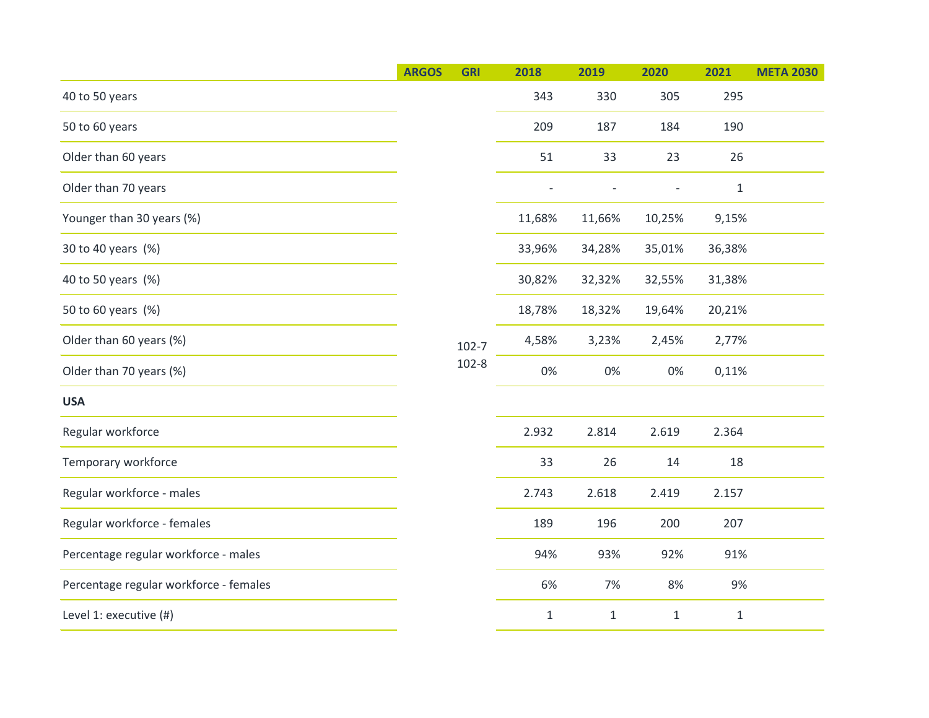|                                        | <b>ARGOS</b> | <b>GRI</b>             | 2018         | 2019         | 2020           | 2021   | <b>META 2030</b> |
|----------------------------------------|--------------|------------------------|--------------|--------------|----------------|--------|------------------|
| 40 to 50 years                         |              |                        | 343          | 330          | 305            | 295    |                  |
| 50 to 60 years                         |              |                        | 209          | 187          | 184            | 190    |                  |
| Older than 60 years                    |              |                        | 51           | 33           | 23             | 26     |                  |
| Older than 70 years                    |              |                        |              |              | $\overline{a}$ | $1\,$  |                  |
| Younger than 30 years (%)              |              |                        | 11,68%       | 11,66%       | 10,25%         | 9,15%  |                  |
| 30 to 40 years (%)                     |              |                        | 33,96%       | 34,28%       | 35,01%         | 36,38% |                  |
| 40 to 50 years (%)                     |              |                        | 30,82%       | 32,32%       | 32,55%         | 31,38% |                  |
| 50 to 60 years (%)                     |              |                        | 18,78%       | 18,32%       | 19,64%         | 20,21% |                  |
| Older than 60 years (%)                |              | $102 - 7$<br>$102 - 8$ | 4,58%        | 3,23%        | 2,45%          | 2,77%  |                  |
| Older than 70 years (%)                |              |                        | $0\%$        | 0%           | 0%             | 0,11%  |                  |
| <b>USA</b>                             |              |                        |              |              |                |        |                  |
| Regular workforce                      |              |                        | 2.932        | 2.814        | 2.619          | 2.364  |                  |
| Temporary workforce                    |              |                        | 33           | 26           | 14             | 18     |                  |
| Regular workforce - males              |              |                        | 2.743        | 2.618        | 2.419          | 2.157  |                  |
| Regular workforce - females            |              |                        | 189          | 196          | 200            | 207    |                  |
| Percentage regular workforce - males   |              |                        | 94%          | 93%          | 92%            | 91%    |                  |
| Percentage regular workforce - females |              |                        | 6%           | 7%           | 8%             | 9%     |                  |
| Level 1: executive (#)                 |              |                        | $\mathbf{1}$ | $\mathbf{1}$ | $1\,$          | $1\,$  |                  |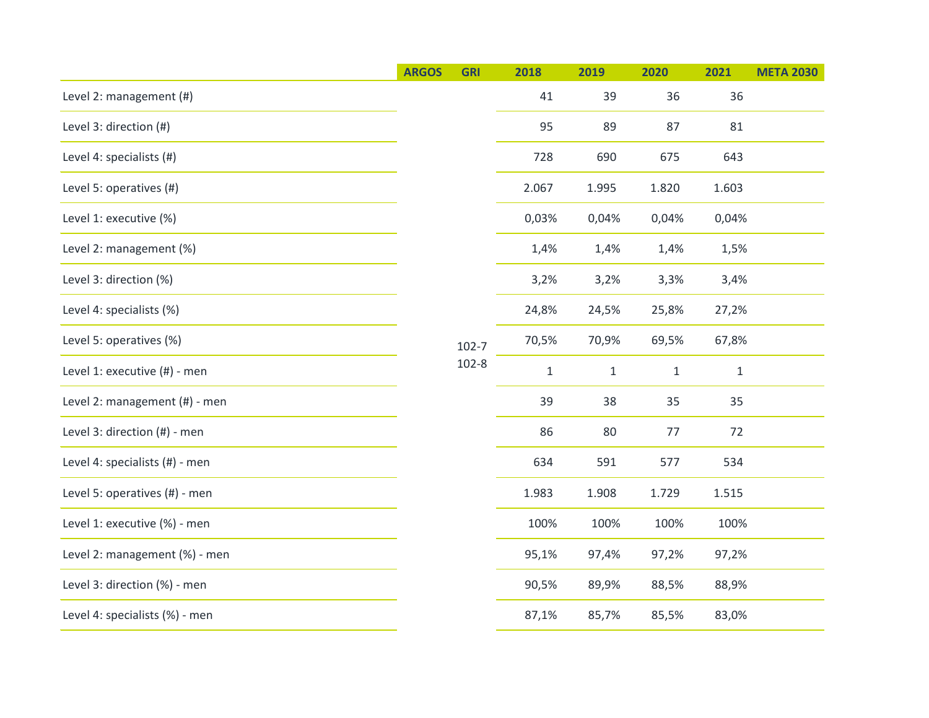|                                | <b>ARGOS</b> | <b>GRI</b>             | 2018  | 2019         | 2020         | 2021         | <b>META 2030</b> |  |
|--------------------------------|--------------|------------------------|-------|--------------|--------------|--------------|------------------|--|
| Level 2: management (#)        |              |                        | 41    | 39           | 36           | 36           |                  |  |
| Level 3: direction (#)         |              |                        | 95    | 89           | 87           | 81           |                  |  |
| Level 4: specialists (#)       |              |                        | 728   | 690          | 675          | 643          |                  |  |
| Level 5: operatives (#)        |              |                        | 2.067 | 1.995        | 1.820        | 1.603        |                  |  |
| Level 1: executive (%)         |              |                        | 0,03% | 0,04%        | 0,04%        | 0,04%        |                  |  |
| Level 2: management (%)        |              |                        | 1,4%  | 1,4%         | 1,4%         | 1,5%         |                  |  |
| Level 3: direction (%)         |              |                        | 3,2%  | 3,2%         | 3,3%         | 3,4%         |                  |  |
| Level 4: specialists (%)       |              |                        | 24,8% | 24,5%        | 25,8%        | 27,2%        |                  |  |
| Level 5: operatives (%)        |              | $102 - 7$<br>$102 - 8$ | 70,5% | 70,9%        | 69,5%        | 67,8%        |                  |  |
| Level 1: executive (#) - men   |              |                        |       | $\mathbf{1}$ | $\mathbf{1}$ | $\mathbf{1}$ | $\mathbf{1}$     |  |
| Level 2: management (#) - men  |              |                        | 39    | 38           | 35           | 35           |                  |  |
| Level 3: direction (#) - men   |              |                        | 86    | 80           | 77           | 72           |                  |  |
| Level 4: specialists (#) - men |              |                        | 634   | 591          | 577          | 534          |                  |  |
| Level 5: operatives (#) - men  |              |                        | 1.983 | 1.908        | 1.729        | 1.515        |                  |  |
| Level 1: executive (%) - men   |              |                        | 100%  | 100%         | 100%         | 100%         |                  |  |
| Level 2: management (%) - men  |              |                        | 95,1% | 97,4%        | 97,2%        | 97,2%        |                  |  |
| Level 3: direction (%) - men   |              |                        | 90,5% | 89,9%        | 88,5%        | 88,9%        |                  |  |
| Level 4: specialists (%) - men |              |                        | 87,1% | 85,7%        | 85,5%        | 83,0%        |                  |  |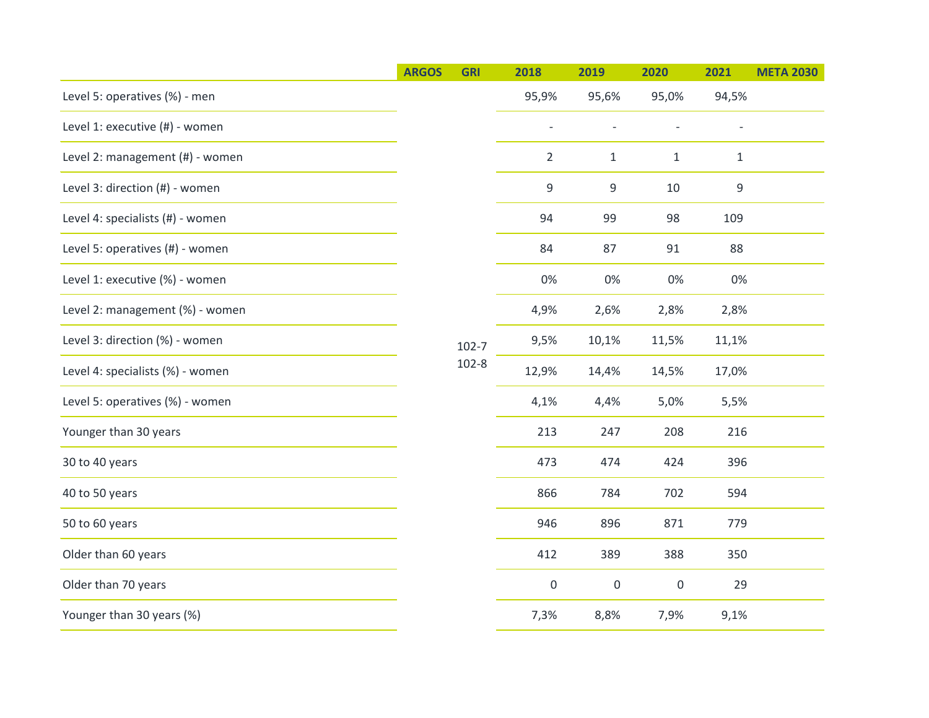|                                  | <b>ARGOS</b> | <b>GRI</b>             | 2018           | 2019         | 2020                | 2021        | <b>META 2030</b> |
|----------------------------------|--------------|------------------------|----------------|--------------|---------------------|-------------|------------------|
| Level 5: operatives (%) - men    |              |                        | 95,9%          | 95,6%        | 95,0%               | 94,5%       |                  |
| Level 1: executive (#) - women   |              |                        |                |              |                     |             |                  |
| Level 2: management (#) - women  |              |                        | $\overline{2}$ | $\mathbf{1}$ | $\mathbf{1}$        | $1\,$       |                  |
| Level 3: direction (#) - women   |              |                        | 9              | 9            | 10                  | $\mathsf 9$ |                  |
| Level 4: specialists (#) - women |              |                        | 94             | 99           | 98                  | 109         |                  |
| Level 5: operatives (#) - women  |              |                        | 84             | 87           | 91                  | 88          |                  |
| Level 1: executive (%) - women   |              |                        | 0%             | 0%           | 0%                  | 0%          |                  |
| Level 2: management (%) - women  |              |                        | 4,9%           | 2,6%         | 2,8%                | 2,8%        |                  |
| Level 3: direction (%) - women   |              | $102 - 7$<br>$102 - 8$ | 9,5%           | 10,1%        | 11,5%               | 11,1%       |                  |
| Level 4: specialists (%) - women |              |                        |                | 12,9%        | 14,4%               | 14,5%       | 17,0%            |
| Level 5: operatives (%) - women  |              |                        | 4,1%           | 4,4%         | 5,0%                | 5,5%        |                  |
| Younger than 30 years            |              |                        | 213            | 247          | 208                 | 216         |                  |
| 30 to 40 years                   |              |                        | 473            | 474          | 424                 | 396         |                  |
| 40 to 50 years                   |              |                        | 866            | 784          | 702                 | 594         |                  |
| 50 to 60 years                   |              |                        | 946            | 896          | 871                 | 779         |                  |
| Older than 60 years              |              |                        | 412            | 389          | 388                 | 350         |                  |
| Older than 70 years              |              |                        | $\mathbf 0$    | $\mathbf 0$  | $\mathsf{O}\xspace$ | 29          |                  |
| Younger than 30 years (%)        |              |                        | 7,3%           | 8,8%         | 7,9%                | 9,1%        |                  |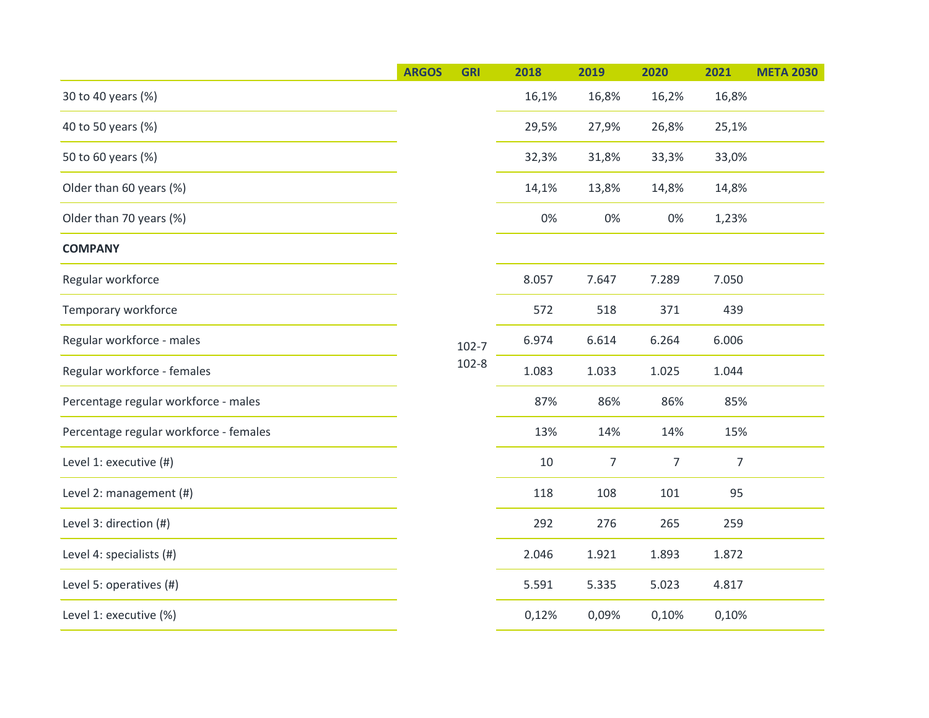|                                        | <b>ARGOS</b> | <b>GRI</b>             | 2018  | 2019           | 2020           | 2021           | <b>META 2030</b> |
|----------------------------------------|--------------|------------------------|-------|----------------|----------------|----------------|------------------|
| 30 to 40 years (%)                     |              |                        | 16,1% | 16,8%          | 16,2%          | 16,8%          |                  |
| 40 to 50 years (%)                     |              |                        | 29,5% | 27,9%          | 26,8%          | 25,1%          |                  |
| 50 to 60 years (%)                     |              |                        | 32,3% | 31,8%          | 33,3%          | 33,0%          |                  |
| Older than 60 years (%)                |              |                        | 14,1% | 13,8%          | 14,8%          | 14,8%          |                  |
| Older than 70 years (%)                |              |                        | 0%    | 0%             | 0%             | 1,23%          |                  |
| <b>COMPANY</b>                         |              |                        |       |                |                |                |                  |
| Regular workforce                      |              |                        | 8.057 | 7.647          | 7.289          | 7.050          |                  |
| Temporary workforce                    |              |                        | 572   | 518            | 371            | 439            |                  |
| Regular workforce - males              |              | $102 - 7$<br>$102 - 8$ | 6.974 | 6.614          | 6.264          | 6.006          |                  |
| Regular workforce - females            |              |                        | 1.083 | 1.033          | 1.025          | 1.044          |                  |
| Percentage regular workforce - males   |              |                        | 87%   | 86%            | 86%            | 85%            |                  |
| Percentage regular workforce - females |              |                        | 13%   | 14%            | 14%            | 15%            |                  |
| Level 1: executive (#)                 |              |                        | 10    | $\overline{7}$ | $\overline{7}$ | $\overline{7}$ |                  |
| Level 2: management (#)                |              |                        | 118   | 108            | 101            | 95             |                  |
| Level 3: direction (#)                 |              |                        | 292   | 276            | 265            | 259            |                  |
| Level 4: specialists (#)               |              |                        | 2.046 | 1.921          | 1.893          | 1.872          |                  |
| Level 5: operatives (#)                |              |                        | 5.591 | 5.335          | 5.023          | 4.817          |                  |
| Level 1: executive (%)                 |              |                        | 0,12% | 0,09%          | 0,10%          | 0,10%          |                  |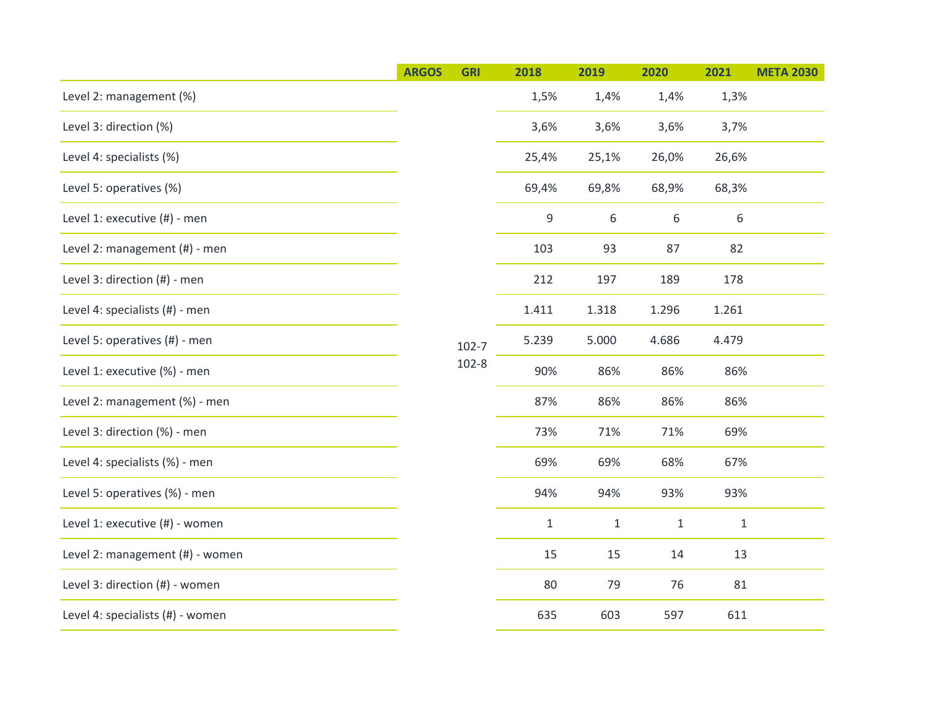|                                  | <b>ARGOS</b> | <b>GRI</b>             | 2018         | 2019         | 2020         | 2021         | <b>META 2030</b> |
|----------------------------------|--------------|------------------------|--------------|--------------|--------------|--------------|------------------|
| Level 2: management (%)          |              |                        | 1,5%         | 1,4%         | 1,4%         | 1,3%         |                  |
| Level 3: direction (%)           |              |                        | 3,6%         | 3,6%         | 3,6%         | 3,7%         |                  |
| Level 4: specialists (%)         |              |                        | 25,4%        | 25,1%        | 26,0%        | 26,6%        |                  |
| Level 5: operatives (%)          |              |                        | 69,4%        | 69,8%        | 68,9%        | 68,3%        |                  |
| Level 1: executive (#) - men     |              |                        | 9            | 6            | 6            | 6            |                  |
| Level 2: management (#) - men    |              |                        | 103          | 93           | 87           | 82           |                  |
| Level 3: direction (#) - men     |              |                        | 212          | 197          | 189          | 178          |                  |
| Level 4: specialists (#) - men   |              |                        | 1.411        | 1.318        | 1.296        | 1.261        |                  |
| Level 5: operatives (#) - men    |              | $102 - 7$<br>$102 - 8$ | 5.239        | 5.000        | 4.686        | 4.479        |                  |
| Level 1: executive (%) - men     |              |                        |              | 90%          | 86%          | 86%          | 86%              |
| Level 2: management (%) - men    |              |                        | 87%          | 86%          | 86%          | 86%          |                  |
| Level 3: direction (%) - men     |              |                        | 73%          | 71%          | 71%          | 69%          |                  |
| Level 4: specialists (%) - men   |              |                        | 69%          | 69%          | 68%          | 67%          |                  |
| Level 5: operatives (%) - men    |              |                        | 94%          | 94%          | 93%          | 93%          |                  |
| Level 1: executive (#) - women   |              |                        | $\mathbf{1}$ | $\mathbf{1}$ | $\mathbf{1}$ | $\mathbf{1}$ |                  |
| Level 2: management (#) - women  |              |                        | 15           | 15           | 14           | 13           |                  |
| Level 3: direction (#) - women   |              |                        | 80           | 79           | 76           | 81           |                  |
| Level 4: specialists (#) - women |              |                        | 635          | 603          | 597          | 611          |                  |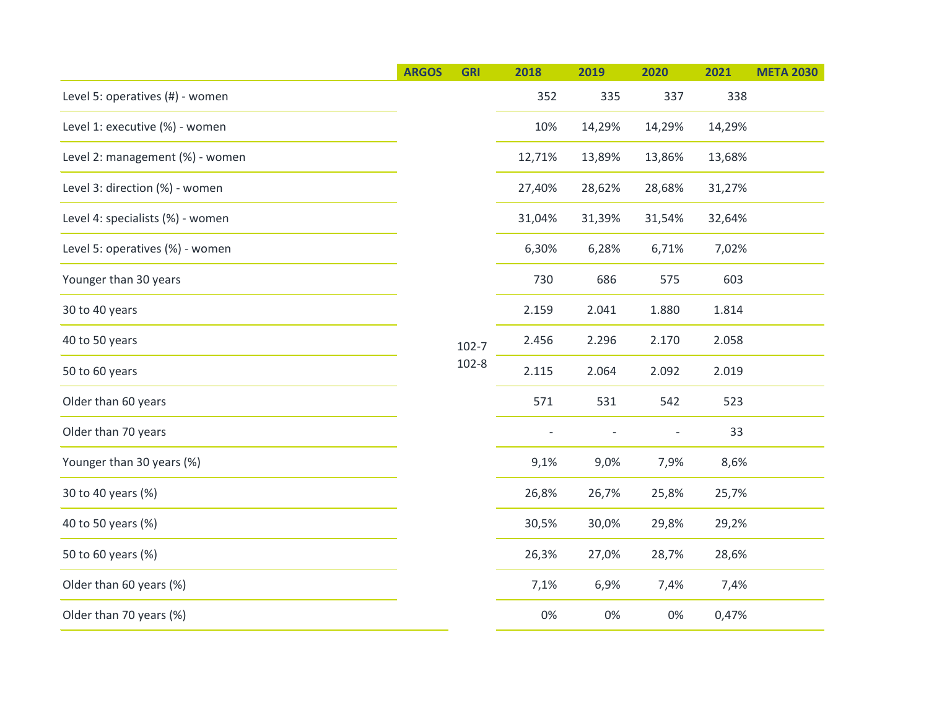|                                  | <b>ARGOS</b> | <b>GRI</b>             | 2018   | 2019                     | 2020                     | 2021   | <b>META 2030</b> |
|----------------------------------|--------------|------------------------|--------|--------------------------|--------------------------|--------|------------------|
| Level 5: operatives (#) - women  |              |                        | 352    | 335                      | 337                      | 338    |                  |
| Level 1: executive (%) - women   |              |                        | 10%    | 14,29%                   | 14,29%                   | 14,29% |                  |
| Level 2: management (%) - women  |              |                        | 12,71% | 13,89%                   | 13,86%                   | 13,68% |                  |
| Level 3: direction (%) - women   |              |                        | 27,40% | 28,62%                   | 28,68%                   | 31,27% |                  |
| Level 4: specialists (%) - women |              |                        | 31,04% | 31,39%                   | 31,54%                   | 32,64% |                  |
| Level 5: operatives (%) - women  |              |                        | 6,30%  | 6,28%                    | 6,71%                    | 7,02%  |                  |
| Younger than 30 years            |              |                        | 730    | 686                      | 575                      | 603    |                  |
| 30 to 40 years                   |              |                        | 2.159  | 2.041                    | 1.880                    | 1.814  |                  |
| 40 to 50 years                   |              | $102 - 7$<br>$102 - 8$ | 2.456  | 2.296                    | 2.170                    | 2.058  |                  |
| 50 to 60 years                   |              |                        |        | 2.115                    | 2.064                    | 2.092  | 2.019            |
| Older than 60 years              |              |                        | 571    | 531                      | 542                      | 523    |                  |
| Older than 70 years              |              |                        |        | $\overline{\phantom{a}}$ | $\overline{\phantom{a}}$ | 33     |                  |
| Younger than 30 years (%)        |              |                        | 9,1%   | 9,0%                     | 7,9%                     | 8,6%   |                  |
| 30 to 40 years (%)               |              |                        | 26,8%  | 26,7%                    | 25,8%                    | 25,7%  |                  |
| 40 to 50 years (%)               |              |                        | 30,5%  | 30,0%                    | 29,8%                    | 29,2%  |                  |
| 50 to 60 years (%)               |              |                        | 26,3%  | 27,0%                    | 28,7%                    | 28,6%  |                  |
| Older than 60 years (%)          |              |                        | 7,1%   | 6,9%                     | 7,4%                     | 7,4%   |                  |
| Older than 70 years (%)          |              |                        | 0%     | 0%                       | 0%                       | 0,47%  |                  |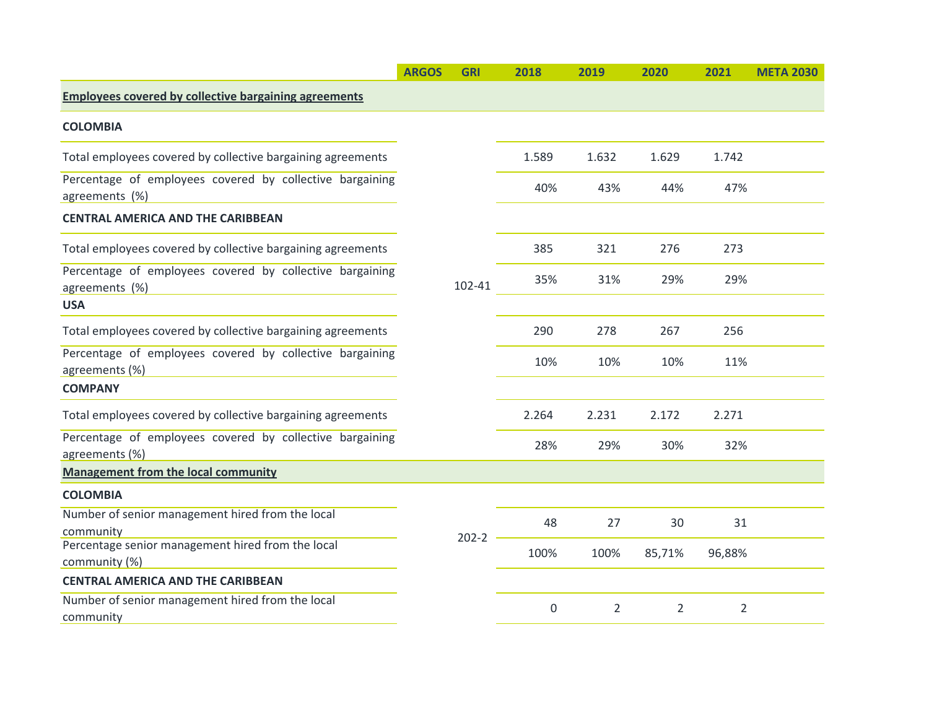|                                                                            | <b>ARGOS</b> | <b>GRI</b> | 2018  | 2019           | 2020           | 2021           | <b>META 2030</b> |
|----------------------------------------------------------------------------|--------------|------------|-------|----------------|----------------|----------------|------------------|
| <b>Employees covered by collective bargaining agreements</b>               |              |            |       |                |                |                |                  |
| <b>COLOMBIA</b>                                                            |              |            |       |                |                |                |                  |
| Total employees covered by collective bargaining agreements                |              |            | 1.589 | 1.632          | 1.629          | 1.742          |                  |
| Percentage of employees covered by collective bargaining<br>agreements (%) |              |            | 40%   | 43%            | 44%            | 47%            |                  |
| <b>CENTRAL AMERICA AND THE CARIBBEAN</b>                                   |              |            |       |                |                |                |                  |
| Total employees covered by collective bargaining agreements                |              |            | 385   | 321            | 276            | 273            |                  |
| Percentage of employees covered by collective bargaining<br>agreements (%) |              | 102-41     | 35%   | 31%            | 29%            | 29%            |                  |
| <b>USA</b>                                                                 |              |            |       |                |                |                |                  |
| Total employees covered by collective bargaining agreements                |              |            | 290   | 278            | 267            | 256            |                  |
| Percentage of employees covered by collective bargaining<br>agreements (%) |              |            | 10%   | 10%            | 10%            | 11%            |                  |
| <b>COMPANY</b>                                                             |              |            |       |                |                |                |                  |
| Total employees covered by collective bargaining agreements                |              |            | 2.264 | 2.231          | 2.172          | 2.271          |                  |
| Percentage of employees covered by collective bargaining<br>agreements (%) |              |            | 28%   | 29%            | 30%            | 32%            |                  |
| <b>Management from the local community</b>                                 |              |            |       |                |                |                |                  |
| <b>COLOMBIA</b>                                                            |              |            |       |                |                |                |                  |
| Number of senior management hired from the local<br>community              |              | $202 - 2$  | 48    | 27             | 30             | 31             |                  |
| Percentage senior management hired from the local<br>community (%)         |              |            | 100%  | 100%           | 85,71%         | 96,88%         |                  |
| <b>CENTRAL AMERICA AND THE CARIBBEAN</b>                                   |              |            |       |                |                |                |                  |
| Number of senior management hired from the local<br>community              |              |            | 0     | $\overline{2}$ | $\overline{2}$ | $\overline{2}$ |                  |
|                                                                            |              |            |       |                |                |                |                  |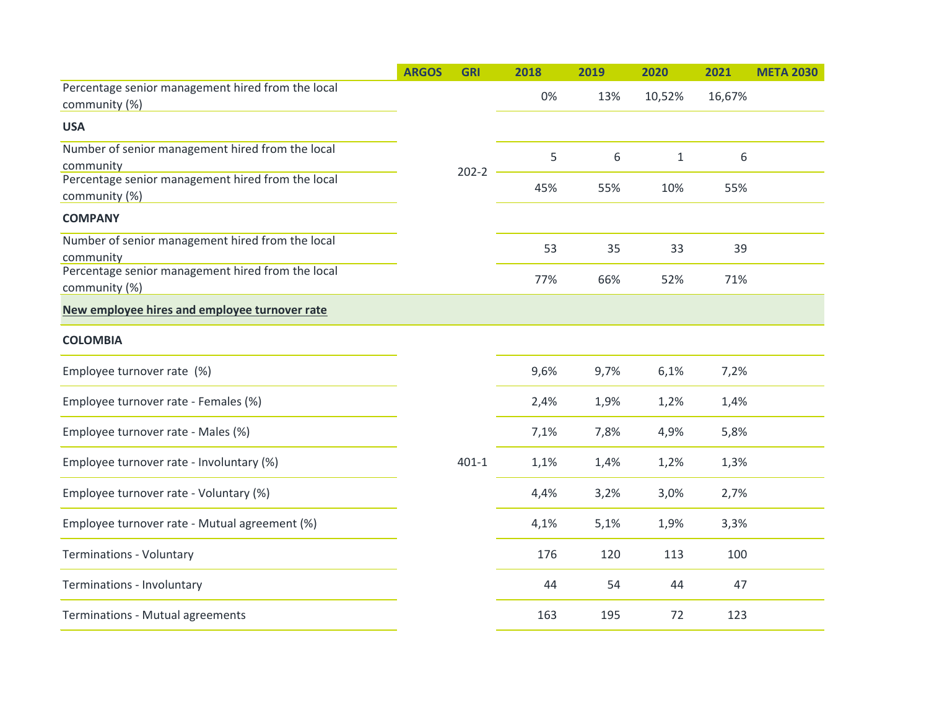|                                                                    | <b>ARGOS</b> | <b>GRI</b> | 2018 | 2019 | 2020         | 2021   | <b>META 2030</b> |
|--------------------------------------------------------------------|--------------|------------|------|------|--------------|--------|------------------|
| Percentage senior management hired from the local<br>community (%) |              |            | 0%   | 13%  | 10,52%       | 16,67% |                  |
| <b>USA</b>                                                         |              |            |      |      |              |        |                  |
| Number of senior management hired from the local<br>community      |              |            | 5    | 6    | $\mathbf{1}$ | 6      |                  |
| Percentage senior management hired from the local<br>community (%) |              | $202 - 2$  | 45%  | 55%  | 10%          | 55%    |                  |
| <b>COMPANY</b>                                                     |              |            |      |      |              |        |                  |
| Number of senior management hired from the local<br>community      |              |            | 53   | 35   | 33           | 39     |                  |
| Percentage senior management hired from the local<br>community (%) |              |            | 77%  | 66%  | 52%          | 71%    |                  |
| New employee hires and employee turnover rate                      |              |            |      |      |              |        |                  |
| <b>COLOMBIA</b>                                                    |              |            |      |      |              |        |                  |
| Employee turnover rate (%)                                         |              |            | 9,6% | 9,7% | 6,1%         | 7,2%   |                  |
| Employee turnover rate - Females (%)                               |              |            | 2,4% | 1,9% | 1,2%         | 1,4%   |                  |
| Employee turnover rate - Males (%)                                 |              |            | 7,1% | 7,8% | 4,9%         | 5,8%   |                  |
| Employee turnover rate - Involuntary (%)                           |              | $401 - 1$  | 1,1% | 1,4% | 1,2%         | 1,3%   |                  |
| Employee turnover rate - Voluntary (%)                             |              |            | 4,4% | 3,2% | 3,0%         | 2,7%   |                  |
| Employee turnover rate - Mutual agreement (%)                      |              |            | 4,1% | 5,1% | 1,9%         | 3,3%   |                  |
| <b>Terminations - Voluntary</b>                                    |              |            | 176  | 120  | 113          | 100    |                  |
| Terminations - Involuntary                                         |              |            | 44   | 54   | 44           | 47     |                  |
| Terminations - Mutual agreements                                   |              |            | 163  | 195  | 72           | 123    |                  |
|                                                                    |              |            |      |      |              |        |                  |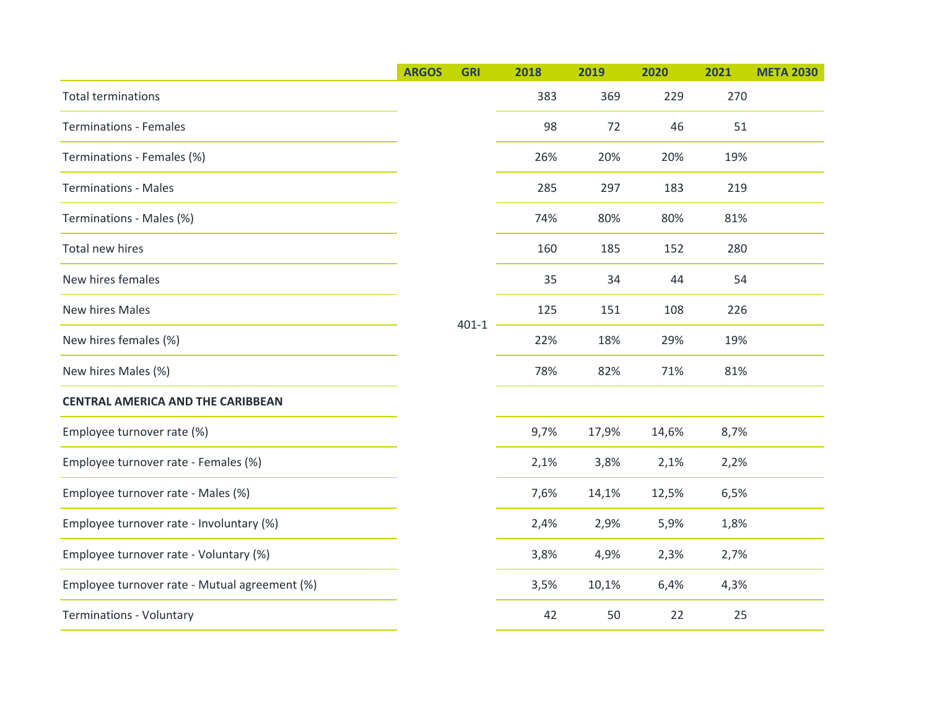|                                               | <b>ARGOS</b> | <b>GRI</b> | 2018 | 2019  | 2020  | 2021 | <b>META 2030</b> |  |
|-----------------------------------------------|--------------|------------|------|-------|-------|------|------------------|--|
| <b>Total terminations</b>                     |              |            | 383  | 369   | 229   | 270  |                  |  |
| <b>Terminations - Females</b>                 |              |            | 98   | 72    | 46    | 51   |                  |  |
| Terminations - Females (%)                    |              |            | 26%  | 20%   | 20%   | 19%  |                  |  |
| <b>Terminations - Males</b>                   |              |            | 285  | 297   | 183   | 219  |                  |  |
| Terminations - Males (%)                      |              |            | 74%  | 80%   | 80%   | 81%  |                  |  |
| Total new hires                               |              |            | 160  | 185   | 152   | 280  |                  |  |
| New hires females                             |              |            | 35   | 34    | 44    | 54   |                  |  |
| New hires Males                               |              | $401 - 1$  | 125  | 151   | 108   | 226  |                  |  |
| New hires females (%)                         |              |            | 22%  | 18%   | 29%   | 19%  |                  |  |
| New hires Males (%)                           |              |            |      | 78%   | 82%   | 71%  | 81%              |  |
| <b>CENTRAL AMERICA AND THE CARIBBEAN</b>      |              |            |      |       |       |      |                  |  |
| Employee turnover rate (%)                    |              |            | 9,7% | 17,9% | 14,6% | 8,7% |                  |  |
| Employee turnover rate - Females (%)          |              |            | 2,1% | 3,8%  | 2,1%  | 2,2% |                  |  |
| Employee turnover rate - Males (%)            |              |            | 7,6% | 14,1% | 12,5% | 6,5% |                  |  |
| Employee turnover rate - Involuntary (%)      |              |            | 2,4% | 2,9%  | 5,9%  | 1,8% |                  |  |
| Employee turnover rate - Voluntary (%)        |              |            | 3,8% | 4,9%  | 2,3%  | 2,7% |                  |  |
| Employee turnover rate - Mutual agreement (%) |              |            | 3,5% | 10,1% | 6,4%  | 4,3% |                  |  |
| <b>Terminations - Voluntary</b>               |              |            | 42   | 50    | 22    | 25   |                  |  |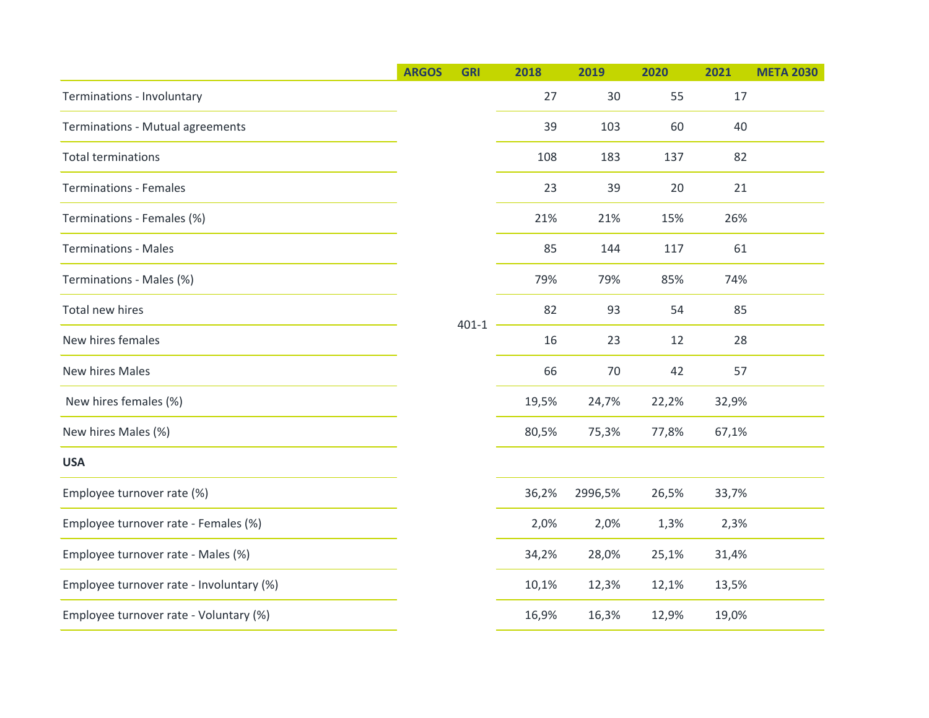|                                          | <b>ARGOS</b> | <b>GRI</b> | 2018  | 2019    | 2020  | 2021  | <b>META 2030</b> |
|------------------------------------------|--------------|------------|-------|---------|-------|-------|------------------|
| Terminations - Involuntary               |              |            | 27    | 30      | 55    | 17    |                  |
| Terminations - Mutual agreements         |              |            | 39    | 103     | 60    | 40    |                  |
| <b>Total terminations</b>                |              |            | 108   | 183     | 137   | 82    |                  |
| <b>Terminations - Females</b>            |              |            | 23    | 39      | 20    | 21    |                  |
| Terminations - Females (%)               |              |            | 21%   | 21%     | 15%   | 26%   |                  |
| <b>Terminations - Males</b>              |              |            | 85    | 144     | 117   | 61    |                  |
| Terminations - Males (%)                 |              |            | 79%   | 79%     | 85%   | 74%   |                  |
| Total new hires                          |              | $401 - 1$  | 82    | 93      | 54    | 85    |                  |
| New hires females                        |              |            | 16    | 23      | 12    | 28    |                  |
| New hires Males                          |              |            | 66    | 70      | 42    | 57    |                  |
| New hires females (%)                    |              |            | 19,5% | 24,7%   | 22,2% | 32,9% |                  |
| New hires Males (%)                      |              |            | 80,5% | 75,3%   | 77,8% | 67,1% |                  |
| <b>USA</b>                               |              |            |       |         |       |       |                  |
| Employee turnover rate (%)               |              |            | 36,2% | 2996,5% | 26,5% | 33,7% |                  |
| Employee turnover rate - Females (%)     |              |            | 2,0%  | 2,0%    | 1,3%  | 2,3%  |                  |
| Employee turnover rate - Males (%)       |              |            | 34,2% | 28,0%   | 25,1% | 31,4% |                  |
| Employee turnover rate - Involuntary (%) |              |            | 10,1% | 12,3%   | 12,1% | 13,5% |                  |
| Employee turnover rate - Voluntary (%)   |              |            | 16,9% | 16,3%   | 12,9% | 19,0% |                  |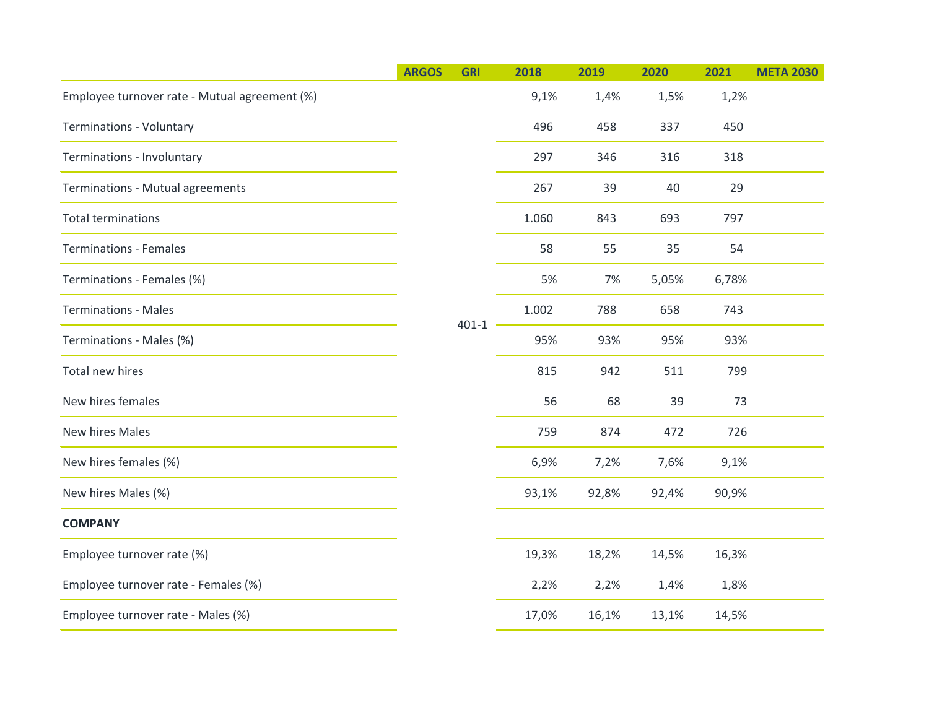|                                               | <b>ARGOS</b> | <b>GRI</b> | 2018  | 2019  | 2020  | 2021  | <b>META 2030</b> |  |
|-----------------------------------------------|--------------|------------|-------|-------|-------|-------|------------------|--|
| Employee turnover rate - Mutual agreement (%) |              |            | 9,1%  | 1,4%  | 1,5%  | 1,2%  |                  |  |
| <b>Terminations - Voluntary</b>               |              |            | 496   | 458   | 337   | 450   |                  |  |
| Terminations - Involuntary                    |              |            | 297   | 346   | 316   | 318   |                  |  |
| Terminations - Mutual agreements              |              |            | 267   | 39    | 40    | 29    |                  |  |
| <b>Total terminations</b>                     |              |            | 1.060 | 843   | 693   | 797   |                  |  |
| <b>Terminations - Females</b>                 |              |            | 58    | 55    | 35    | 54    |                  |  |
| Terminations - Females (%)                    |              |            | 5%    | 7%    | 5,05% | 6,78% |                  |  |
| <b>Terminations - Males</b>                   |              | $401 - 1$  | 1.002 | 788   | 658   | 743   |                  |  |
| Terminations - Males (%)                      |              |            | 95%   | 93%   | 95%   | 93%   |                  |  |
| Total new hires                               |              |            |       | 815   | 942   | 511   | 799              |  |
| New hires females                             |              |            | 56    | 68    | 39    | 73    |                  |  |
| New hires Males                               |              |            | 759   | 874   | 472   | 726   |                  |  |
| New hires females (%)                         |              |            | 6,9%  | 7,2%  | 7,6%  | 9,1%  |                  |  |
| New hires Males (%)                           |              |            | 93,1% | 92,8% | 92,4% | 90,9% |                  |  |
| <b>COMPANY</b>                                |              |            |       |       |       |       |                  |  |
| Employee turnover rate (%)                    |              |            | 19,3% | 18,2% | 14,5% | 16,3% |                  |  |
| Employee turnover rate - Females (%)          |              |            | 2,2%  | 2,2%  | 1,4%  | 1,8%  |                  |  |
| Employee turnover rate - Males (%)            |              |            | 17,0% | 16,1% | 13,1% | 14,5% |                  |  |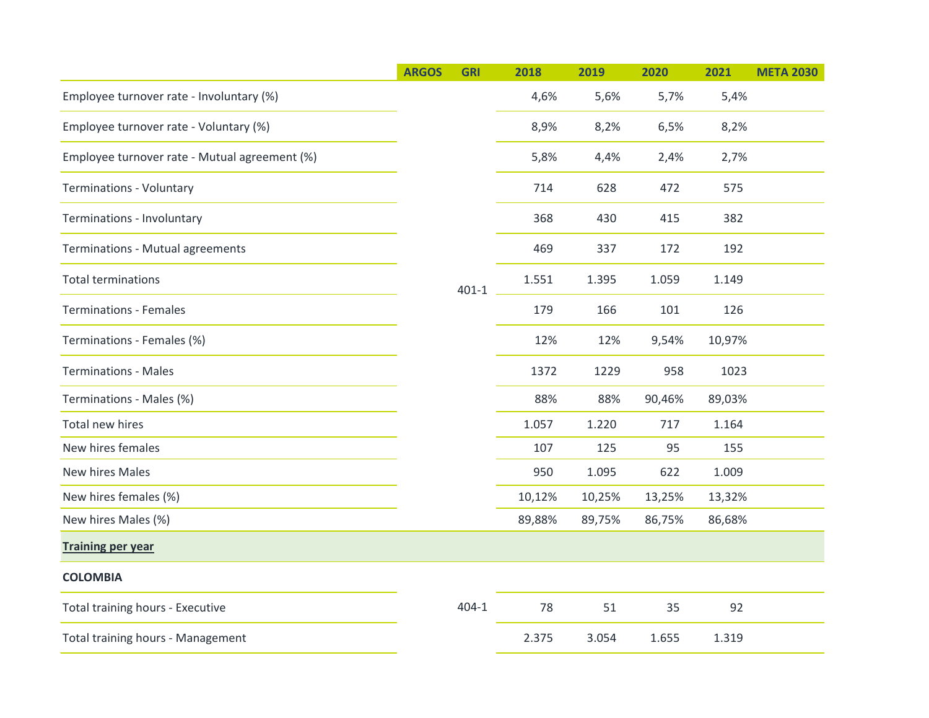|                                               | <b>ARGOS</b> | <b>GRI</b> | 2018   | 2019   | 2020   | 2021   | <b>META 2030</b> |
|-----------------------------------------------|--------------|------------|--------|--------|--------|--------|------------------|
| Employee turnover rate - Involuntary (%)      |              |            | 4,6%   | 5,6%   | 5,7%   | 5,4%   |                  |
| Employee turnover rate - Voluntary (%)        |              |            | 8,9%   | 8,2%   | 6,5%   | 8,2%   |                  |
| Employee turnover rate - Mutual agreement (%) |              |            | 5,8%   | 4,4%   | 2,4%   | 2,7%   |                  |
| <b>Terminations - Voluntary</b>               |              |            | 714    | 628    | 472    | 575    |                  |
| Terminations - Involuntary                    |              |            | 368    | 430    | 415    | 382    |                  |
| Terminations - Mutual agreements              |              |            | 469    | 337    | 172    | 192    |                  |
| <b>Total terminations</b>                     |              | $401 - 1$  | 1.551  | 1.395  | 1.059  | 1.149  |                  |
| <b>Terminations - Females</b>                 |              |            | 179    | 166    | 101    | 126    |                  |
| Terminations - Females (%)                    |              |            | 12%    | 12%    | 9,54%  | 10,97% |                  |
| <b>Terminations - Males</b>                   |              |            | 1372   | 1229   | 958    | 1023   |                  |
| Terminations - Males (%)                      |              |            | 88%    | 88%    | 90,46% | 89,03% |                  |
| Total new hires                               |              |            | 1.057  | 1.220  | 717    | 1.164  |                  |
| New hires females                             |              |            | 107    | 125    | 95     | 155    |                  |
| New hires Males                               |              |            | 950    | 1.095  | 622    | 1.009  |                  |
| New hires females (%)                         |              |            | 10,12% | 10,25% | 13,25% | 13,32% |                  |
| New hires Males (%)                           |              |            | 89,88% | 89,75% | 86,75% | 86,68% |                  |
| <b>Training per year</b>                      |              |            |        |        |        |        |                  |
| <b>COLOMBIA</b>                               |              |            |        |        |        |        |                  |
| Total training hours - Executive              |              | $404 - 1$  | 78     | 51     | 35     | 92     |                  |
| Total training hours - Management             |              |            | 2.375  | 3.054  | 1.655  | 1.319  |                  |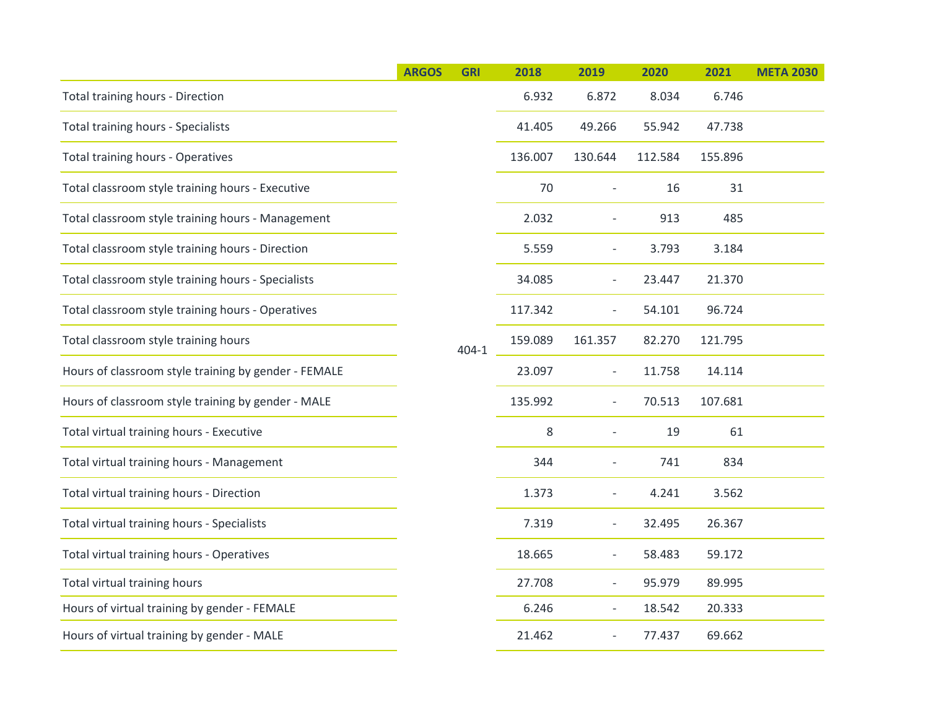|                                                      | <b>ARGOS</b> | <b>GRI</b> | 2018    | 2019                              | 2020                     | 2021    | <b>META 2030</b> |  |
|------------------------------------------------------|--------------|------------|---------|-----------------------------------|--------------------------|---------|------------------|--|
| Total training hours - Direction                     |              |            | 6.932   | 6.872                             | 8.034                    | 6.746   |                  |  |
| <b>Total training hours - Specialists</b>            |              |            | 41.405  | 49.266                            | 55.942                   | 47.738  |                  |  |
| <b>Total training hours - Operatives</b>             |              |            | 136.007 | 130.644                           | 112.584                  | 155.896 |                  |  |
| Total classroom style training hours - Executive     |              |            | 70      | $\overline{\phantom{a}}$          | 16                       | 31      |                  |  |
| Total classroom style training hours - Management    |              |            | 2.032   | $\overline{\phantom{a}}$          | 913                      | 485     |                  |  |
| Total classroom style training hours - Direction     |              |            | 5.559   | 3.793<br>$\overline{\phantom{a}}$ |                          | 3.184   |                  |  |
| Total classroom style training hours - Specialists   |              |            | 34.085  | $\overline{\phantom{a}}$          | 23.447                   | 21.370  |                  |  |
| Total classroom style training hours - Operatives    |              |            |         | 117.342                           | $\overline{\phantom{a}}$ | 54.101  | 96.724           |  |
| Total classroom style training hours                 |              | $404 - 1$  | 159.089 | 161.357                           | 82.270                   | 121.795 |                  |  |
| Hours of classroom style training by gender - FEMALE |              |            | 23.097  | $\overline{\phantom{a}}$          | 11.758                   | 14.114  |                  |  |
| Hours of classroom style training by gender - MALE   |              |            | 135.992 | $\overline{\phantom{a}}$          | 70.513                   | 107.681 |                  |  |
| Total virtual training hours - Executive             |              |            | 8       | $\bar{a}$                         | 19                       | 61      |                  |  |
| Total virtual training hours - Management            |              |            | 344     | $\bar{a}$                         | 741                      | 834     |                  |  |
| Total virtual training hours - Direction             |              |            | 1.373   | $\overline{\phantom{a}}$          | 4.241                    | 3.562   |                  |  |
| Total virtual training hours - Specialists           |              |            | 7.319   | $\overline{\phantom{a}}$          | 32.495                   | 26.367  |                  |  |
| Total virtual training hours - Operatives            |              |            | 18.665  | $\overline{\phantom{a}}$          | 58.483                   | 59.172  |                  |  |
| Total virtual training hours                         |              |            | 27.708  | $\overline{\phantom{a}}$          | 95.979                   | 89.995  |                  |  |
| Hours of virtual training by gender - FEMALE         |              |            | 6.246   | $\overline{\phantom{a}}$          | 18.542                   | 20.333  |                  |  |
| Hours of virtual training by gender - MALE           |              |            | 21.462  | $\qquad \qquad \blacksquare$      | 77.437                   | 69.662  |                  |  |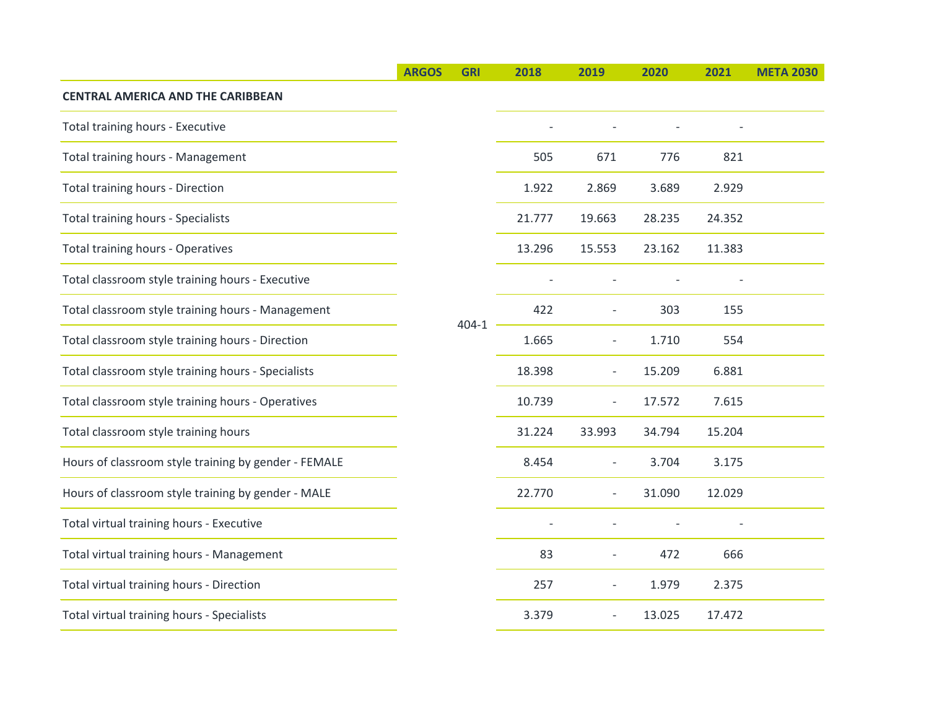|                                                      | <b>ARGOS</b> | <b>GRI</b> | 2018   | 2019                     | 2020                     | 2021   | <b>META 2030</b> |
|------------------------------------------------------|--------------|------------|--------|--------------------------|--------------------------|--------|------------------|
| <b>CENTRAL AMERICA AND THE CARIBBEAN</b>             |              |            |        |                          |                          |        |                  |
| Total training hours - Executive                     |              |            |        |                          |                          |        |                  |
| Total training hours - Management                    |              |            | 505    | 671                      | 776                      | 821    |                  |
| Total training hours - Direction                     |              |            | 1.922  | 2.869                    | 3.689                    | 2.929  |                  |
| <b>Total training hours - Specialists</b>            |              |            | 21.777 | 19.663                   | 28.235                   | 24.352 |                  |
| <b>Total training hours - Operatives</b>             |              |            | 13.296 | 15.553                   | 23.162                   | 11.383 |                  |
| Total classroom style training hours - Executive     |              |            |        |                          |                          |        |                  |
| Total classroom style training hours - Management    |              | $404 - 1$  | 422    |                          | 303                      | 155    |                  |
| Total classroom style training hours - Direction     |              |            | 1.665  | $\overline{\phantom{0}}$ | 1.710                    | 554    |                  |
| Total classroom style training hours - Specialists   |              |            |        | 18.398                   | $\overline{\phantom{a}}$ | 15.209 | 6.881            |
| Total classroom style training hours - Operatives    |              |            | 10.739 | $\overline{\phantom{a}}$ | 17.572                   | 7.615  |                  |
| Total classroom style training hours                 |              |            | 31.224 | 33.993                   | 34.794                   | 15.204 |                  |
| Hours of classroom style training by gender - FEMALE |              |            | 8.454  | $\bar{\phantom{a}}$      | 3.704                    | 3.175  |                  |
| Hours of classroom style training by gender - MALE   |              |            | 22.770 | $\overline{\phantom{a}}$ | 31.090                   | 12.029 |                  |
| Total virtual training hours - Executive             |              |            |        |                          |                          |        |                  |
| Total virtual training hours - Management            |              |            | 83     | $\overline{\phantom{a}}$ | 472                      | 666    |                  |
| Total virtual training hours - Direction             |              |            | 257    | $\overline{\phantom{a}}$ | 1.979                    | 2.375  |                  |
| Total virtual training hours - Specialists           |              |            | 3.379  | $\overline{\phantom{a}}$ | 13.025                   | 17.472 |                  |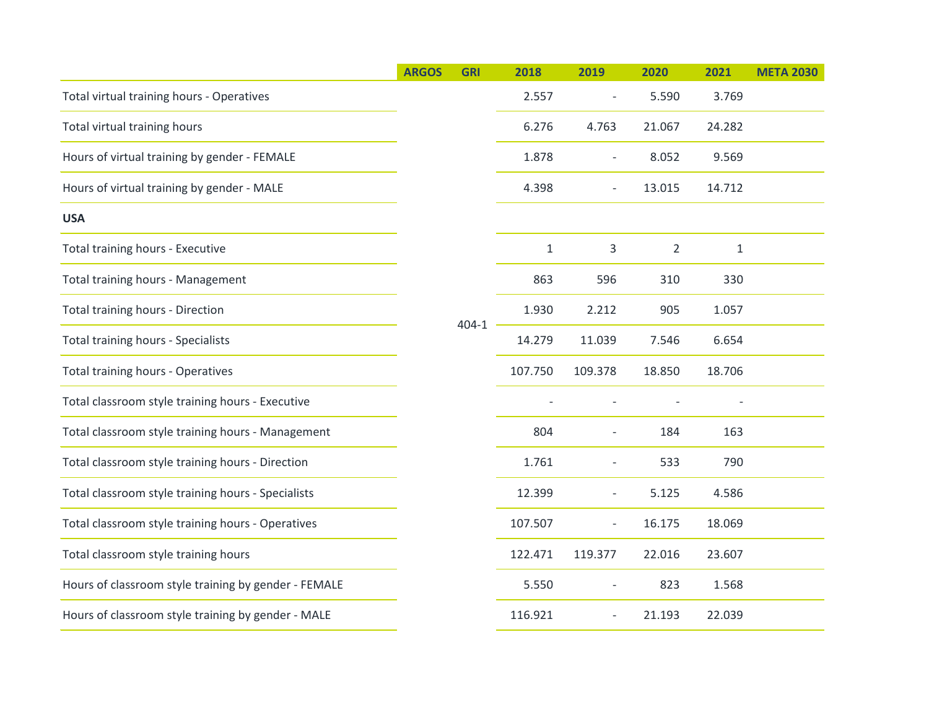| <b>ARGOS</b> | <b>GRI</b> | 2018         | 2019                     | 2020           | 2021         | <b>META 2030</b> |
|--------------|------------|--------------|--------------------------|----------------|--------------|------------------|
|              |            | 2.557        |                          | 5.590          | 3.769        |                  |
|              |            | 6.276        | 4.763                    | 21.067         | 24.282       |                  |
|              |            | 1.878        | $\bar{a}$                | 8.052          | 9.569        |                  |
|              |            | 4.398        | $\bar{a}$                | 13.015         | 14.712       |                  |
|              |            |              |                          |                |              |                  |
|              |            | $\mathbf{1}$ | 3                        | $\overline{2}$ | $\mathbf{1}$ |                  |
|              |            | 863          | 596                      | 310            | 330          |                  |
|              |            | 1.930        | 2.212                    | 905            | 1.057        |                  |
|              |            | 14.279       | 11.039                   | 7.546          | 6.654        |                  |
|              |            | 107.750      | 109.378                  | 18.850         | 18.706       |                  |
|              |            |              |                          |                |              |                  |
|              |            | 804          | $\overline{\phantom{a}}$ | 184            | 163          |                  |
|              |            | 1.761        | $\overline{\phantom{a}}$ | 533            | 790          |                  |
|              |            | 12.399       | $\overline{\phantom{a}}$ | 5.125          | 4.586        |                  |
|              |            | 107.507      | $\overline{\phantom{a}}$ | 16.175         | 18.069       |                  |
|              |            | 122.471      | 119.377                  | 22.016         | 23.607       |                  |
|              |            | 5.550        | $\overline{\phantom{a}}$ | 823            | 1.568        |                  |
|              |            | 116.921      | $\overline{\phantom{a}}$ | 21.193         | 22.039       |                  |
|              |            | $404 - 1$    |                          |                |              |                  |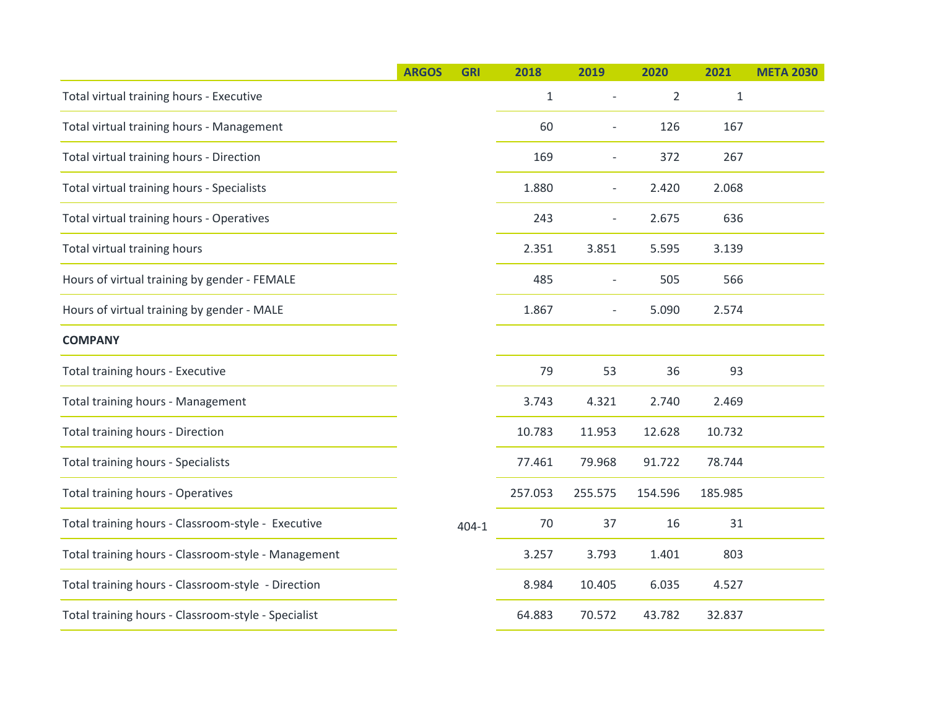|                                                     | <b>ARGOS</b> | <b>GRI</b> | 2018    | 2019                     | 2020           | 2021         | <b>META 2030</b> |
|-----------------------------------------------------|--------------|------------|---------|--------------------------|----------------|--------------|------------------|
| Total virtual training hours - Executive            |              |            | 1       |                          | $\overline{2}$ | $\mathbf{1}$ |                  |
| Total virtual training hours - Management           |              |            | 60      |                          | 126            | 167          |                  |
| Total virtual training hours - Direction            |              |            | 169     | $\overline{a}$           | 372            | 267          |                  |
| Total virtual training hours - Specialists          |              |            | 1.880   | $\overline{\phantom{0}}$ | 2.420          | 2.068        |                  |
| Total virtual training hours - Operatives           |              |            | 243     | $\bar{\phantom{a}}$      | 2.675          | 636          |                  |
| Total virtual training hours                        |              |            | 2.351   | 3.851                    | 5.595          | 3.139        |                  |
| Hours of virtual training by gender - FEMALE        |              |            | 485     | $\overline{a}$           | 505            | 566          |                  |
| Hours of virtual training by gender - MALE          |              |            | 1.867   | $\overline{\phantom{a}}$ | 5.090          | 2.574        |                  |
| <b>COMPANY</b>                                      |              |            |         |                          |                |              |                  |
| Total training hours - Executive                    |              |            | 79      | 53                       | 36             | 93           |                  |
| Total training hours - Management                   |              |            | 3.743   | 4.321                    | 2.740          | 2.469        |                  |
| Total training hours - Direction                    |              |            | 10.783  | 11.953                   | 12.628         | 10.732       |                  |
| <b>Total training hours - Specialists</b>           |              |            | 77.461  | 79.968                   | 91.722         | 78.744       |                  |
| <b>Total training hours - Operatives</b>            |              |            | 257.053 | 255.575                  | 154.596        | 185.985      |                  |
| Total training hours - Classroom-style - Executive  |              | $404 - 1$  | 70      | 37                       | 16             | 31           |                  |
| Total training hours - Classroom-style - Management |              |            | 3.257   | 3.793                    | 1.401          | 803          |                  |
| Total training hours - Classroom-style - Direction  |              |            | 8.984   | 10.405                   | 6.035          | 4.527        |                  |
| Total training hours - Classroom-style - Specialist |              |            | 64.883  | 70.572                   | 43.782         | 32.837       |                  |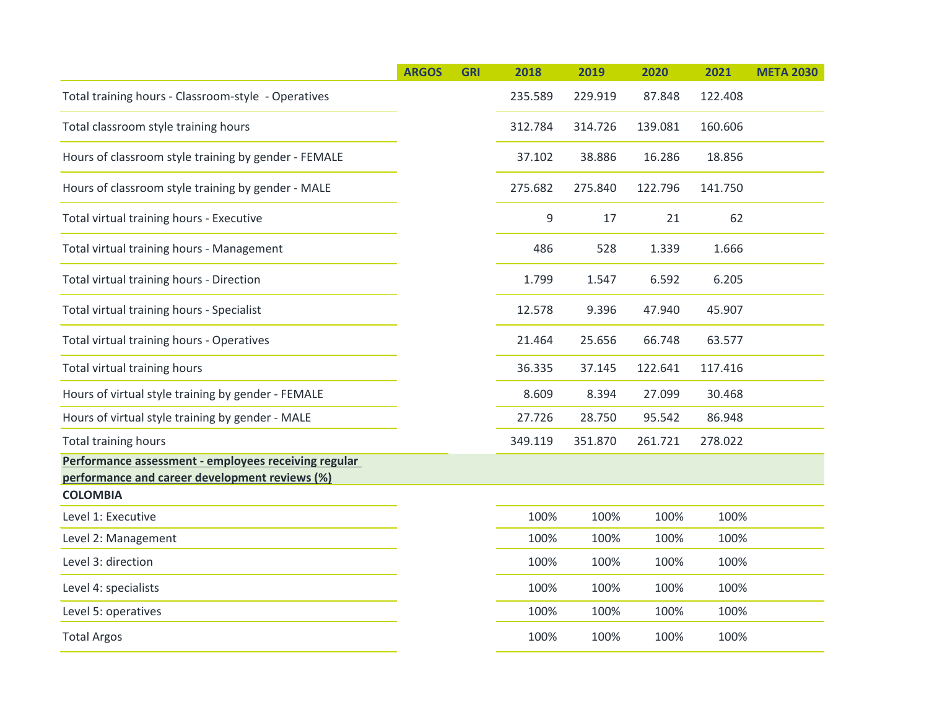|                                                      | <b>ARGOS</b> | <b>GRI</b> | 2018    | 2019    | 2020    | 2021    | <b>META 2030</b> |
|------------------------------------------------------|--------------|------------|---------|---------|---------|---------|------------------|
| Total training hours - Classroom-style - Operatives  |              |            | 235.589 | 229.919 | 87.848  | 122.408 |                  |
| Total classroom style training hours                 |              |            | 312.784 | 314.726 | 139.081 | 160.606 |                  |
| Hours of classroom style training by gender - FEMALE |              |            | 37.102  | 38.886  | 16.286  | 18.856  |                  |
| Hours of classroom style training by gender - MALE   |              |            | 275.682 | 275.840 | 122.796 | 141.750 |                  |
| Total virtual training hours - Executive             |              |            | 9       | 17      | 21      | 62      |                  |
| Total virtual training hours - Management            |              |            | 486     | 528     | 1.339   | 1.666   |                  |
| Total virtual training hours - Direction             |              |            | 1.799   | 1.547   | 6.592   | 6.205   |                  |
| Total virtual training hours - Specialist            |              |            | 12.578  | 9.396   | 47.940  | 45.907  |                  |
| Total virtual training hours - Operatives            |              |            | 21.464  | 25.656  | 66.748  | 63.577  |                  |
| Total virtual training hours                         |              |            | 36.335  | 37.145  | 122.641 | 117.416 |                  |
| Hours of virtual style training by gender - FEMALE   |              |            | 8.609   | 8.394   | 27.099  | 30.468  |                  |
| Hours of virtual style training by gender - MALE     |              |            | 27.726  | 28.750  | 95.542  | 86.948  |                  |
| <b>Total training hours</b>                          |              |            | 349.119 | 351.870 | 261.721 | 278.022 |                  |
| Performance assessment - employees receiving regular |              |            |         |         |         |         |                  |
| performance and career development reviews (%)       |              |            |         |         |         |         |                  |
| <b>COLOMBIA</b>                                      |              |            |         |         |         |         |                  |
| Level 1: Executive                                   |              |            | 100%    | 100%    | 100%    | 100%    |                  |
| Level 2: Management                                  |              |            | 100%    | 100%    | 100%    | 100%    |                  |
| Level 3: direction                                   |              |            | 100%    | 100%    | 100%    | 100%    |                  |
| Level 4: specialists                                 |              |            | 100%    | 100%    | 100%    | 100%    |                  |
| Level 5: operatives                                  |              |            | 100%    | 100%    | 100%    | 100%    |                  |
| <b>Total Argos</b>                                   |              |            | 100%    | 100%    | 100%    | 100%    |                  |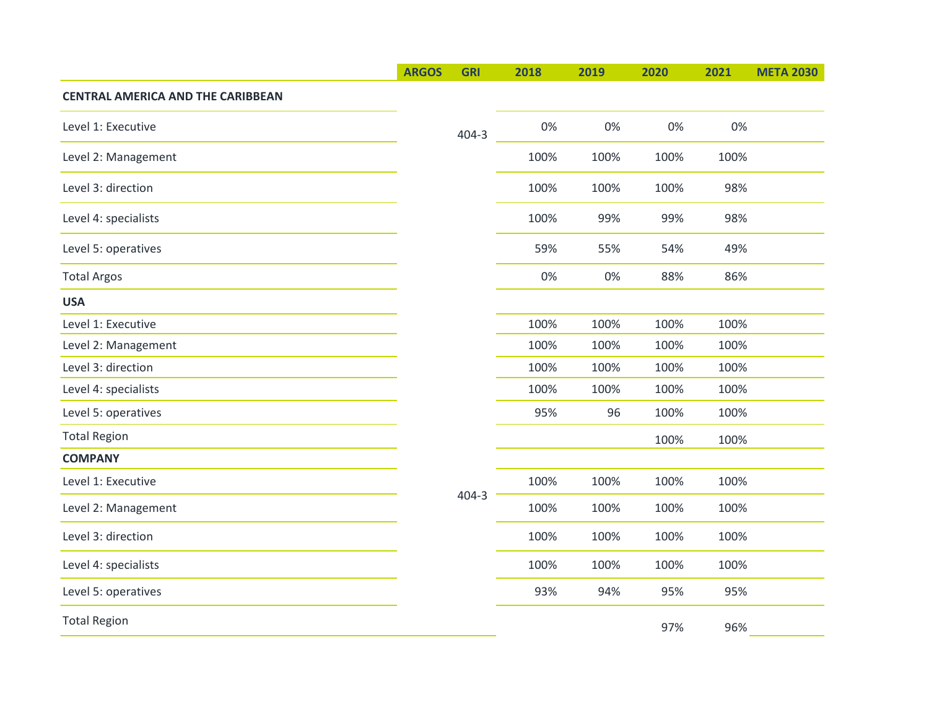| 0%<br>0%<br>0%<br>0%<br>$404 - 3$<br>100%<br>100%<br>100%<br>100%<br>100%<br>100%<br>100%<br>98%<br>100%<br>99%<br>99%<br>98%<br>59%<br>55%<br>54%<br>49%<br>0%<br>0%<br>88%<br>86%<br>100%<br>100%<br>100%<br>100%<br>100%<br>100%<br>100%<br>100%<br>100%<br>100%<br>100%<br>100%<br>100%<br>100%<br>100%<br>100%<br>96<br>100%<br>95%<br>100%<br>100%<br>100%<br>100%<br>100%<br>100%<br>100%<br>$404 - 3$<br>100%<br>100%<br>100%<br>100%<br>100%<br>100%<br>100%<br>100%<br>100%<br>100%<br>100%<br>100%<br>93%<br>94%<br>95%<br>95%<br>96%<br>97% |                                          | <b>ARGOS</b> | <b>GRI</b> | 2018 | 2019 | 2020 | 2021 | <b>META 2030</b> |
|---------------------------------------------------------------------------------------------------------------------------------------------------------------------------------------------------------------------------------------------------------------------------------------------------------------------------------------------------------------------------------------------------------------------------------------------------------------------------------------------------------------------------------------------------------|------------------------------------------|--------------|------------|------|------|------|------|------------------|
|                                                                                                                                                                                                                                                                                                                                                                                                                                                                                                                                                         | <b>CENTRAL AMERICA AND THE CARIBBEAN</b> |              |            |      |      |      |      |                  |
|                                                                                                                                                                                                                                                                                                                                                                                                                                                                                                                                                         | Level 1: Executive                       |              |            |      |      |      |      |                  |
|                                                                                                                                                                                                                                                                                                                                                                                                                                                                                                                                                         | Level 2: Management                      |              |            |      |      |      |      |                  |
|                                                                                                                                                                                                                                                                                                                                                                                                                                                                                                                                                         | Level 3: direction                       |              |            |      |      |      |      |                  |
|                                                                                                                                                                                                                                                                                                                                                                                                                                                                                                                                                         | Level 4: specialists                     |              |            |      |      |      |      |                  |
|                                                                                                                                                                                                                                                                                                                                                                                                                                                                                                                                                         | Level 5: operatives                      |              |            |      |      |      |      |                  |
|                                                                                                                                                                                                                                                                                                                                                                                                                                                                                                                                                         | <b>Total Argos</b>                       |              |            |      |      |      |      |                  |
|                                                                                                                                                                                                                                                                                                                                                                                                                                                                                                                                                         | <b>USA</b>                               |              |            |      |      |      |      |                  |
|                                                                                                                                                                                                                                                                                                                                                                                                                                                                                                                                                         | Level 1: Executive                       |              |            |      |      |      |      |                  |
|                                                                                                                                                                                                                                                                                                                                                                                                                                                                                                                                                         | Level 2: Management                      |              |            |      |      |      |      |                  |
|                                                                                                                                                                                                                                                                                                                                                                                                                                                                                                                                                         | Level 3: direction                       |              |            |      |      |      |      |                  |
|                                                                                                                                                                                                                                                                                                                                                                                                                                                                                                                                                         | Level 4: specialists                     |              |            |      |      |      |      |                  |
|                                                                                                                                                                                                                                                                                                                                                                                                                                                                                                                                                         | Level 5: operatives                      |              |            |      |      |      |      |                  |
|                                                                                                                                                                                                                                                                                                                                                                                                                                                                                                                                                         | <b>Total Region</b>                      |              |            |      |      |      |      |                  |
|                                                                                                                                                                                                                                                                                                                                                                                                                                                                                                                                                         | <b>COMPANY</b>                           |              |            |      |      |      |      |                  |
|                                                                                                                                                                                                                                                                                                                                                                                                                                                                                                                                                         | Level 1: Executive                       |              |            |      |      |      |      |                  |
|                                                                                                                                                                                                                                                                                                                                                                                                                                                                                                                                                         | Level 2: Management                      |              |            |      |      |      |      |                  |
|                                                                                                                                                                                                                                                                                                                                                                                                                                                                                                                                                         | Level 3: direction                       |              |            |      |      |      |      |                  |
|                                                                                                                                                                                                                                                                                                                                                                                                                                                                                                                                                         | Level 4: specialists                     |              |            |      |      |      |      |                  |
|                                                                                                                                                                                                                                                                                                                                                                                                                                                                                                                                                         | Level 5: operatives                      |              |            |      |      |      |      |                  |
|                                                                                                                                                                                                                                                                                                                                                                                                                                                                                                                                                         | <b>Total Region</b>                      |              |            |      |      |      |      |                  |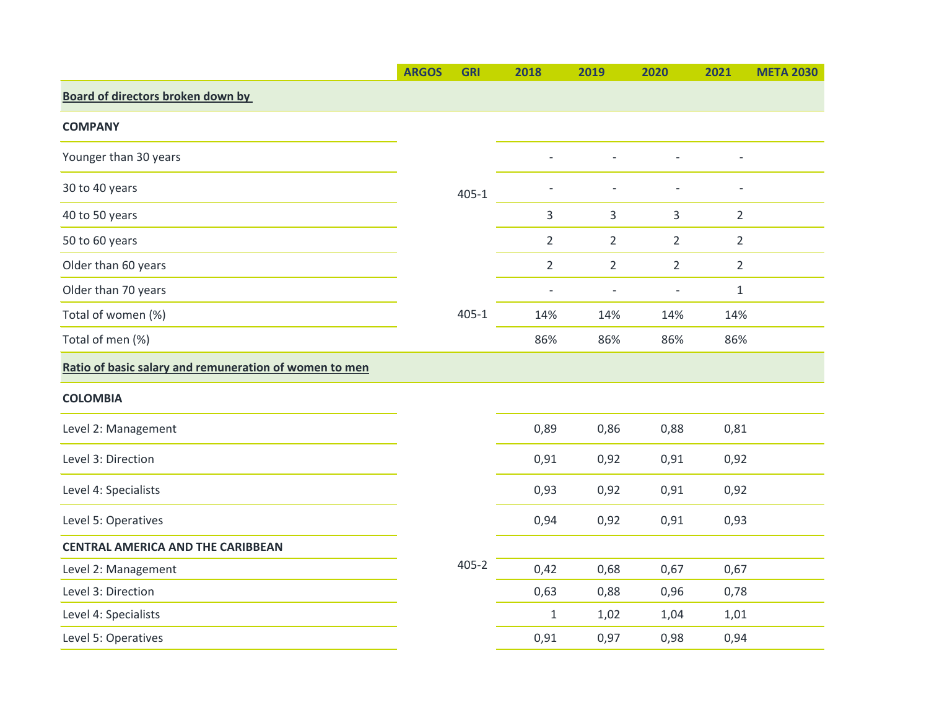|                                                        | <b>ARGOS</b> | <b>GRI</b> | 2018           | 2019                     | 2020                     | 2021           | <b>META 2030</b> |
|--------------------------------------------------------|--------------|------------|----------------|--------------------------|--------------------------|----------------|------------------|
| <b>Board of directors broken down by</b>               |              |            |                |                          |                          |                |                  |
| <b>COMPANY</b>                                         |              |            |                |                          |                          |                |                  |
| Younger than 30 years                                  |              |            |                |                          |                          |                |                  |
| 30 to 40 years                                         |              | $405 - 1$  |                |                          |                          |                |                  |
| 40 to 50 years                                         |              |            | 3              | 3                        | 3                        | $\overline{2}$ |                  |
| 50 to 60 years                                         |              |            | $\overline{2}$ | $\overline{2}$           | $\overline{2}$           | $\overline{2}$ |                  |
| Older than 60 years                                    |              |            | $\overline{2}$ | $\overline{2}$           | $\overline{2}$           | $\overline{2}$ |                  |
| Older than 70 years                                    |              |            | ÷              | $\overline{\phantom{m}}$ | $\overline{\phantom{a}}$ | $\mathbf{1}$   |                  |
| Total of women (%)                                     |              | $405 - 1$  | 14%            | 14%                      | 14%                      | 14%            |                  |
| Total of men (%)                                       |              |            | 86%            | 86%                      | 86%                      | 86%            |                  |
| Ratio of basic salary and remuneration of women to men |              |            |                |                          |                          |                |                  |
| <b>COLOMBIA</b>                                        |              |            |                |                          |                          |                |                  |
| Level 2: Management                                    |              |            | 0,89           | 0,86                     | 0,88                     | 0,81           |                  |
| Level 3: Direction                                     |              |            | 0,91           | 0,92                     | 0,91                     | 0,92           |                  |
| Level 4: Specialists                                   |              |            | 0,93           | 0,92                     | 0,91                     | 0,92           |                  |
| Level 5: Operatives                                    |              |            | 0,94           | 0,92                     | 0,91                     | 0,93           |                  |
| <b>CENTRAL AMERICA AND THE CARIBBEAN</b>               |              |            |                |                          |                          |                |                  |
| Level 2: Management                                    |              | $405 - 2$  | 0,42           | 0,68                     | 0,67                     | 0,67           |                  |
| Level 3: Direction                                     |              |            | 0,63           | 0,88                     | 0,96                     | 0,78           |                  |
| Level 4: Specialists                                   |              |            | $\mathbf{1}$   | 1,02                     | 1,04                     | 1,01           |                  |
| Level 5: Operatives                                    |              |            | 0,91           | 0,97                     | 0,98                     | 0,94           |                  |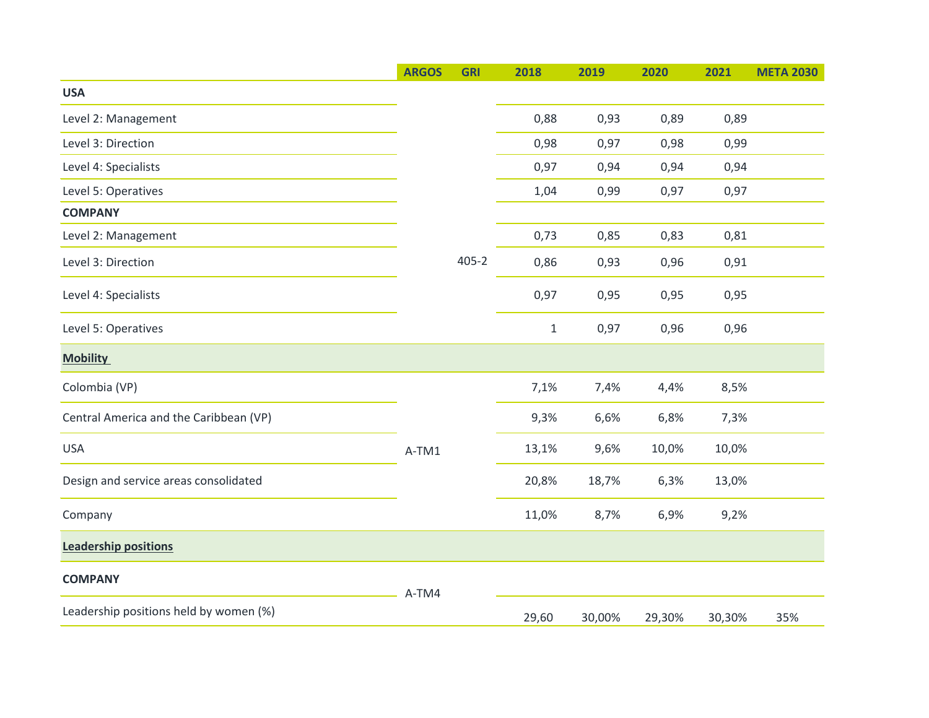|                                        | <b>ARGOS</b> | <b>GRI</b> | 2018         | 2019   | 2020   | 2021   | <b>META 2030</b> |
|----------------------------------------|--------------|------------|--------------|--------|--------|--------|------------------|
| <b>USA</b>                             |              |            |              |        |        |        |                  |
| Level 2: Management                    |              |            | 0,88         | 0,93   | 0,89   | 0,89   |                  |
| Level 3: Direction                     |              |            | 0,98         | 0,97   | 0,98   | 0,99   |                  |
| Level 4: Specialists                   |              |            | 0,97         | 0,94   | 0,94   | 0,94   |                  |
| Level 5: Operatives                    |              |            | 1,04         | 0,99   | 0,97   | 0,97   |                  |
| <b>COMPANY</b>                         |              |            |              |        |        |        |                  |
| Level 2: Management                    |              | $405 - 2$  | 0,73         | 0,85   | 0,83   | 0,81   |                  |
| Level 3: Direction                     |              |            | 0,86         | 0,93   | 0,96   | 0,91   |                  |
| Level 4: Specialists                   |              |            | 0,97         | 0,95   | 0,95   | 0,95   |                  |
| Level 5: Operatives                    |              |            | $\mathbf{1}$ | 0,97   | 0,96   | 0,96   |                  |
| <b>Mobility</b>                        |              |            |              |        |        |        |                  |
| Colombia (VP)                          | A-TM1        |            | 7,1%         | 7,4%   | 4,4%   | 8,5%   |                  |
| Central America and the Caribbean (VP) |              |            | 9,3%         | 6,6%   | 6,8%   | 7,3%   |                  |
| <b>USA</b>                             |              |            | 13,1%        | 9,6%   | 10,0%  | 10,0%  |                  |
| Design and service areas consolidated  |              |            | 20,8%        | 18,7%  | 6,3%   | 13,0%  |                  |
| Company                                |              |            | 11,0%        | 8,7%   | 6,9%   | 9,2%   |                  |
| <b>Leadership positions</b>            |              |            |              |        |        |        |                  |
| <b>COMPANY</b>                         | A-TM4        |            |              |        |        |        |                  |
| Leadership positions held by women (%) |              |            | 29,60        | 30,00% | 29,30% | 30,30% | 35%              |